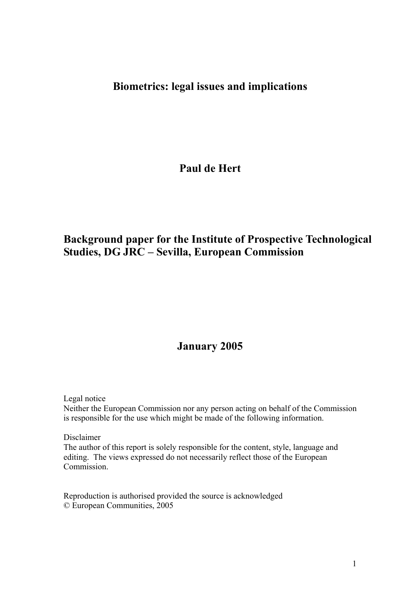## **Biometrics: legal issues and implications**

**Paul de Hert** 

## **Background paper for the Institute of Prospective Technological Studies, DG JRC – Sevilla, European Commission**

## **January 2005**

Legal notice

Neither the European Commission nor any person acting on behalf of the Commission is responsible for the use which might be made of the following information.

Disclaimer

The author of this report is solely responsible for the content, style, language and editing. The views expressed do not necessarily reflect those of the European Commission.

Reproduction is authorised provided the source is acknowledged © European Communities, 2005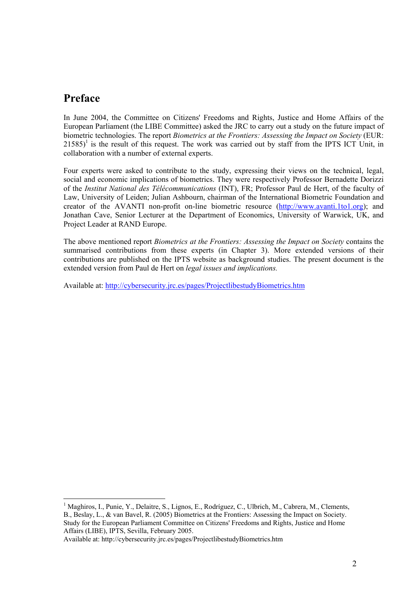### **Preface**

 $\overline{a}$ 

In June 2004, the Committee on Citizens' Freedoms and Rights, Justice and Home Affairs of the European Parliament (the LIBE Committee) asked the JRC to carry out a study on the future impact of biometric technologies. The report *Biometrics at the Frontiers: Assessing the Impact on Society* (EUR:  $21585$ <sup>1</sup> is the result of this request. The work was carried out by staff from the IPTS ICT Unit, in collaboration with a number of external experts.

Four experts were asked to contribute to the study, expressing their views on the technical, legal, social and economic implications of biometrics. They were respectively Professor Bernadette Dorizzi of the *Institut National des Télécommunications* (INT), FR; Professor Paul de Hert, of the faculty of Law, University of Leiden; Julian Ashbourn, chairman of the International Biometric Foundation and creator of the AVANTI non-profit on-line biometric resource (http://www.avanti.1to1.org); and Jonathan Cave, Senior Lecturer at the Department of Economics, University of Warwick, UK, and Project Leader at RAND Europe.

The above mentioned report *Biometrics at the Frontiers: Assessing the Impact on Society* contains the summarised contributions from these experts (in Chapter 3). More extended versions of their contributions are published on the IPTS website as background studies. The present document is the extended version from Paul de Hert on *legal issues and implications.* 

Available at: http://cybersecurity.jrc.es/pages/ProjectlibestudyBiometrics.htm

<sup>&</sup>lt;sup>1</sup> Maghiros, I., Punie, Y., Delaitre, S., Lignos, E., Rodríguez, C., Ulbrich, M., Cabrera, M., Clements, B., Beslay, L., & van Bavel, R. (2005) Biometrics at the Frontiers: Assessing the Impact on Society. Study for the European Parliament Committee on Citizens' Freedoms and Rights, Justice and Home Affairs (LIBE), IPTS, Sevilla, February 2005.

Available at: http://cybersecurity.jrc.es/pages/ProjectlibestudyBiometrics.htm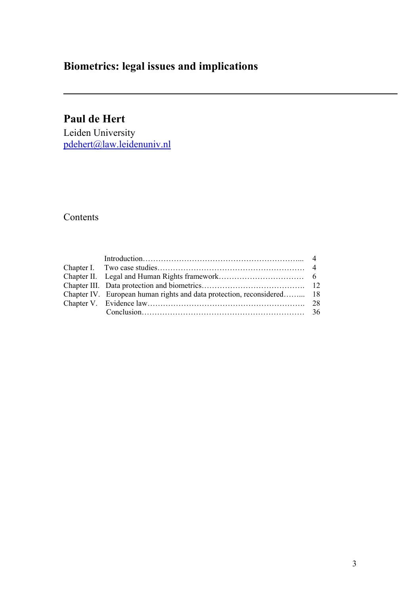# **Biometrics: legal issues and implications**

# **Paul de Hert**

Leiden University pdehert@law.leidenuniv.nl

### Contents

| Chapter IV. European human rights and data protection, reconsidered 18 |  |
|------------------------------------------------------------------------|--|
|                                                                        |  |
|                                                                        |  |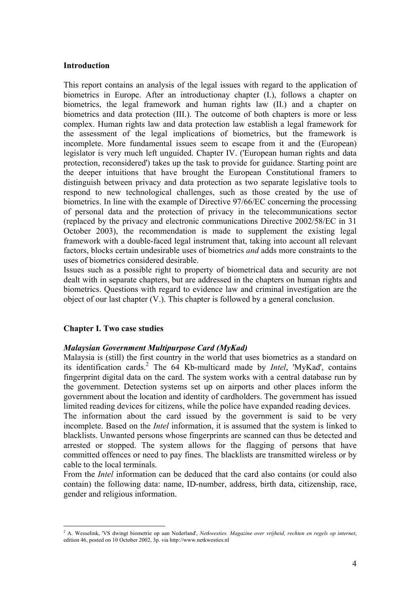#### **Introduction**

This report contains an analysis of the legal issues with regard to the application of biometrics in Europe. After an introductionay chapter (I.), follows a chapter on biometrics, the legal framework and human rights law (II.) and a chapter on biometrics and data protection (III.). The outcome of both chapters is more or less complex. Human rights law and data protection law establish a legal framework for the assessment of the legal implications of biometrics, but the framework is incomplete. More fundamental issues seem to escape from it and the (European) legislator is very much left unguided. Chapter IV. ('European human rights and data protection, reconsidered') takes up the task to provide for guidance. Starting point are the deeper intuitions that have brought the European Constitutional framers to distinguish between privacy and data protection as two separate legislative tools to respond to new technological challenges, such as those created by the use of biometrics. In line with the example of Directive 97/66/EC concerning the processing of personal data and the protection of privacy in the telecommunications sector (replaced by the privacy and electronic communications Directive 2002/58/EC in 31 October 2003), the recommendation is made to supplement the existing legal framework with a double-faced legal instrument that, taking into account all relevant factors, blocks certain undesirable uses of biometrics *and* adds more constraints to the uses of biometrics considered desirable.

Issues such as a possible right to property of biometrical data and security are not dealt with in separate chapters, but are addressed in the chapters on human rights and biometrics. Questions with regard to evidence law and criminal investigation are the object of our last chapter (V.). This chapter is followed by a general conclusion.

#### **Chapter I. Two case studies**

#### *Malaysian Government Multipurpose Card (MyKad)*

Malaysia is (still) the first country in the world that uses biometrics as a standard on its identification cards.<sup>2</sup> The 64 Kb-multicard made by *Intel*, 'MyKad', contains fingerprint digital data on the card. The system works with a central database run by the government. Detection systems set up on airports and other places inform the government about the location and identity of cardholders. The government has issued limited reading devices for citizens, while the police have expanded reading devices.

The information about the card issued by the government is said to be very incomplete. Based on the *Intel* information, it is assumed that the system is linked to blacklists. Unwanted persons whose fingerprints are scanned can thus be detected and arrested or stopped. The system allows for the flagging of persons that have committed offences or need to pay fines. The blacklists are transmitted wireless or by cable to the local terminals.

From the *Intel* information can be deduced that the card also contains (or could also contain) the following data: name, ID-number, address, birth data, citizenship, race, gender and religious information.

 2 A. Wesselink, 'VS dwingt biometrie op aan Nederland', *Netkwesties. Magazine over vrijheid, rechten en regels op internet*, edition 46, posted on 10 October 2002, 3p. via http://www.netkwesties.nl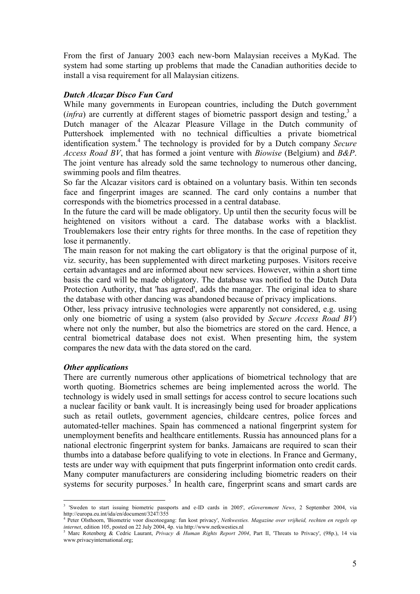From the first of January 2003 each new-born Malaysian receives a MyKad. The system had some starting up problems that made the Canadian authorities decide to install a visa requirement for all Malaysian citizens.

#### *Dutch Alcazar Disco Fun Card*

While many governments in European countries, including the Dutch government (*infra*) are currently at different stages of biometric passport design and testing,<sup>3</sup> a Dutch manager of the Alcazar Pleasure Village in the Dutch community of Puttershoek implemented with no technical difficulties a private biometrical identification system.<sup>4</sup> The technology is provided for by a Dutch company *Secure Access Road BV*, that has formed a joint venture with *Biowise* (Belgium) and *B&P*. The joint venture has already sold the same technology to numerous other dancing, swimming pools and film theatres.

So far the Alcazar visitors card is obtained on a voluntary basis. Within ten seconds face and fingerprint images are scanned. The card only contains a number that corresponds with the biometrics processed in a central database.

In the future the card will be made obligatory. Up until then the security focus will be heightened on visitors without a card. The database works with a blacklist. Troublemakers lose their entry rights for three months. In the case of repetition they lose it permanently.

The main reason for not making the cart obligatory is that the original purpose of it, viz. security, has been supplemented with direct marketing purposes. Visitors receive certain advantages and are informed about new services. However, within a short time basis the card will be made obligatory. The database was notified to the Dutch Data Protection Authority, that 'has agreed', adds the manager. The original idea to share the database with other dancing was abandoned because of privacy implications.

Other, less privacy intrusive technologies were apparently not considered, e.g. using only one biometric of using a system (also provided by *Secure Access Road BV*) where not only the number, but also the biometrics are stored on the card. Hence, a central biometrical database does not exist. When presenting him, the system compares the new data with the data stored on the card.

#### *Other applications*

There are currently numerous other applications of biometrical technology that are worth quoting. Biometrics schemes are being implemented across the world. The technology is widely used in small settings for access control to secure locations such a nuclear facility or bank vault. It is increasingly being used for broader applications such as retail outlets, government agencies, childcare centres, police forces and automated-teller machines. Spain has commenced a national fingerprint system for unemployment benefits and healthcare entitlements. Russia has announced plans for a national electronic fingerprint system for banks. Jamaicans are required to scan their thumbs into a database before qualifying to vote in elections. In France and Germany, tests are under way with equipment that puts fingerprint information onto credit cards. Many computer manufacturers are considering including biometric readers on their systems for security purposes.<sup>5</sup> In health care, fingerprint scans and smart cards are

 3 'Sweden to start issuing biometric passports and e-ID cards in 2005', *eGovernment News*, 2 September 2004, via http://europa.eu.int/ida/en/document/3247/355

<sup>4</sup> Peter Olsthoorn, 'Biometrie voor discotoegang: fun kost privacy', *Netkwesties. Magazine over vrijheid, rechten en regels op internet*, edition 105, posted on 22 July 2004, 4p. via http://www.netkwesties.nl 5. Mary P. t.

Marc Rotenberg & Cedric Laurant, *Privacy & Human Rights Report 2004*, Part II, 'Threats to Privacy', (98p.), 14 via www.privacyinternational.org;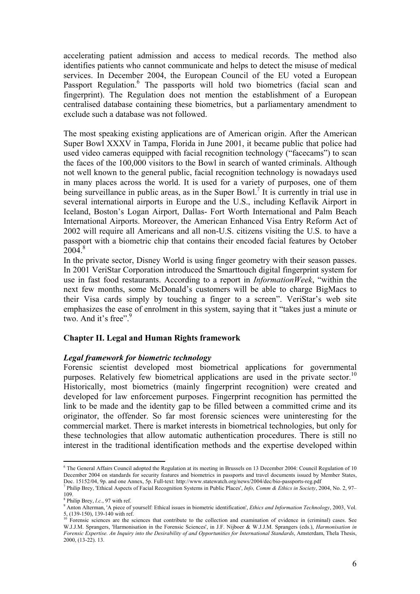accelerating patient admission and access to medical records. The method also identifies patients who cannot communicate and helps to detect the misuse of medical services. In December 2004, the European Council of the EU voted a European Passport Regulation.<sup>6</sup> The passports will hold two biometrics (facial scan and fingerprint). The Regulation does not mention the establishment of a European centralised database containing these biometrics, but a parliamentary amendment to exclude such a database was not followed.

The most speaking existing applications are of American origin. After the American Super Bowl XXXV in Tampa, Florida in June 2001, it became public that police had used video cameras equipped with facial recognition technology ("facecams") to scan the faces of the 100,000 visitors to the Bowl in search of wanted criminals. Although not well known to the general public, facial recognition technology is nowadays used in many places across the world. It is used for a variety of purposes, one of them being surveillance in public areas, as in the Super Bowl.<sup>7</sup> It is currently in trial use in several international airports in Europe and the U.S., including Keflavik Airport in Iceland, Boston's Logan Airport, Dallas- Fort Worth International and Palm Beach International Airports. Moreover, the American Enhanced Visa Entry Reform Act of 2002 will require all Americans and all non-U.S. citizens visiting the U.S. to have a passport with a biometric chip that contains their encoded facial features by October  $2004$ <sup>8</sup>

In the private sector, Disney World is using finger geometry with their season passes. In 2001 VeriStar Corporation introduced the Smarttouch digital fingerprint system for use in fast food restaurants. According to a report in *InformationWeek*, "within the next few months, some McDonald's customers will be able to charge BigMacs to their Visa cards simply by touching a finger to a screen". VeriStar's web site emphasizes the ease of enrolment in this system, saying that it "takes just a minute or two. And it's free".<sup>9</sup>

#### **Chapter II. Legal and Human Rights framework**

#### *Legal framework for biometric technology*

Forensic scientist developed most biometrical applications for governmental purposes. Relatively few biometrical applications are used in the private sector.<sup>10</sup> Historically, most biometrics (mainly fingerprint recognition) were created and developed for law enforcement purposes. Fingerprint recognition has permitted the link to be made and the identity gap to be filled between a committed crime and its originator, the offender. So far most forensic sciences were uninteresting for the commercial market. There is market interests in biometrical technologies, but only for these technologies that allow automatic authentication procedures. There is still no interest in the traditional identification methods and the expertise developed within

 6 The General Affairs Council adopted the Regulation at its meeting in Brussels on 13 December 2004: Council Regulation of 10 December 2004 on standards for security features and biometrics in passports and travel documents issued by Member States, Doc. 15152/04, 9p. and one Annex, 5p. Full-text: http://www.statewatch.org/news/2004/dec/bio-passports-reg.pdf 7

Philip Brey, 'Ethical Aspects of Facial Recognition Systems in Public Places', *Info, Comm & Ethics in Society*, 2004, No. 2, 97– 109.

<sup>&</sup>lt;sup>8</sup> Philip Brey, *l.c.*, 97 with ref.

<sup>&</sup>lt;sup>9</sup> Anton Alterman, 'A piece of yourself: Ethical issues in biometric identification', *Ethics and Information Technology*, 2003, Vol. 5, (139-150), 139-140 with ref.

<sup>&</sup>lt;sup>10</sup> Forensic sciences are the sciences that contribute to the collection and examination of evidence in (criminal) cases. See W.J.J.M. Sprangers, 'Harmonisation in the Forensic Sciences', in J.F. Nijboer & W.J.J.M. Sprangers (eds.), *Harmonisation in Forensic Expertise. An Inquiry into the Desirability of and Opportunities for International Standards*, Amsterdam, Thela Thesis, 2000, (13-22). 13.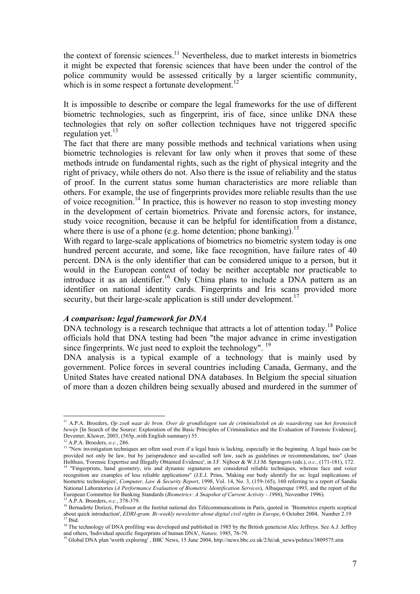the context of forensic sciences.<sup>11</sup> Nevertheless, due to market interests in biometrics it might be expected that forensic sciences that have been under the control of the police community would be assessed critically by a larger scientific community, which is in some respect a fortunate development.<sup>12</sup>

It is impossible to describe or compare the legal frameworks for the use of different biometric technologies, such as fingerprint, iris of face, since unlike DNA these technologies that rely on softer collection techniques have not triggered specific regulation yet. $^{13}$ 

The fact that there are many possible methods and technical variations when using biometric technologies is relevant for law only when it proves that some of these methods intrude on fundamental rights, such as the right of physical integrity and the right of privacy, while others do not. Also there is the issue of reliability and the status of proof. In the current status some human characteristics are more reliable than others. For example, the use of fingerprints provides more reliable results than the use of voice recognition.<sup>14</sup> In practice, this is however no reason to stop investing money in the development of certain biometrics. Private and forensic actors, for instance, study voice recognition, because it can be helpful for identification from a distance, where there is use of a phone (e.g. home detention; phone banking).<sup>15</sup>

With regard to large-scale applications of biometrics no biometric system today is one hundred percent accurate, and some, like face recognition, have failure rates of 40 percent. DNA is the only identifier that can be considered unique to a person, but it would in the European context of today be neither acceptable nor practicable to introduce it as an identifier.<sup>16</sup> Only China plans to include a DNA pattern as an identifier on national identity cards. Fingerprints and Iris scans provided more security, but their large-scale application is still under development.<sup>17</sup>

#### *A comparison: legal framework for DNA*

DNA technology is a research technique that attracts a lot of attention today.<sup>18</sup> Police officials hold that DNA testing had been "the major advance in crime investigation since fingerprints. We just need to exploit the technology". <sup>19</sup>

DNA analysis is a typical example of a technology that is mainly used by government. Police forces in several countries including Canada, Germany, and the United States have created national DNA databases. In Belgium the special situation of more than a dozen children being sexually abused and murdered in the summer of

<sup>11</sup> A.P.A. Broeders, *Op zoek naar de bron. Over de grondlslagen van de criminialistiek en de waardering van het forensisch bewijs* [In Search of the Source: Exploration of the Basic Principles of Criminalistics and the Evaluation of Forensic Evidence], Deventer, Kluwer, 2003, (565p., with English summary) 55.<br><sup>12</sup> A.P.A. Broeders. *o.c.*, 286.

<sup>&</sup>lt;sup>13</sup> "New investigation techniques are often used even if a legal basis is lacking, especially in the beginning. A legal basis can be provided not only be law, but by jurisprudence and so-called soft law, such as guidelines or recommendations, too" (Joan Holthuis, 'Forensic Expertise and Illegally Obtained Evidence', in J.F. Nijboer & W.J.J.M. Sprangers

<sup>&</sup>lt;sup>14</sup> "Fingerprints, hand geometry, iris and dynamic signatures are considered reliable techniques, whereas face and voice recognition are examples of less reliable applications" (J.E.J. Prins, 'Making our body identify for us: legal implications of biometric technologies', *Computer, Law & Security Report*, 1998, Vol. 14, No. 3, (159-165), 160 referring to a report of Sandia National Laboratories (*A Performance Evaluation of Biometric Identification Services*), Albaquerque 1993, and the report of the European Committee for Banking Standards (*Biometrics: A Snapshot of Current Activity - 1996*), November 1996).<br><sup>15</sup> A.P.A. Broeders, *o.c.*, 378-379.<br><sup>16</sup> Bernadette Dorizzi, Professor at the Institut national des Télécom

about quick introduction', *EDRI-gram. Bi-weekly newsletter about digital civil rights in Europe*, 6 October 2004, Number 2.19<sup>17</sup> Ibid.

<sup>&</sup>lt;sup>18</sup> The technology of DNA profiling was developed and published in 1985 by the British geneticist Alec Jeffreys. See A.J. Jeffrey and others, 'Individual specific fingerprints of human DNA', *Nature*, 1985, 76-79.<br><sup>19</sup> Global DNA plan 'worth exploring' , BBC News, 15 June 2004, http://news.bbc.co.uk/2/hi/uk\_news/politics/3809575.stm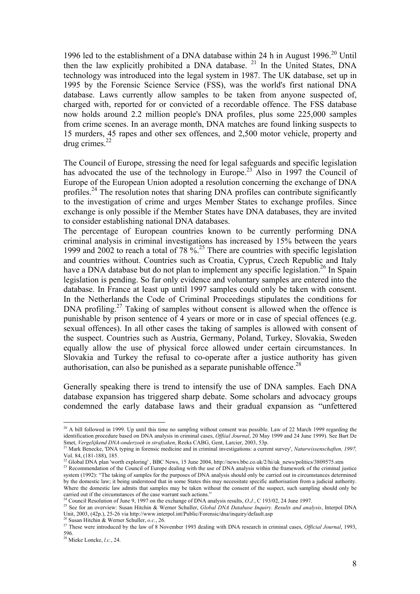1996 led to the establishment of a DNA database within 24 h in August 1996.<sup>20</sup> Until then the law explicitly prohibited a DNA database.  $21$  In the United States, DNA technology was introduced into the legal system in 1987. The UK database, set up in 1995 by the Forensic Science Service (FSS), was the world's first national DNA database. Laws currently allow samples to be taken from anyone suspected of, charged with, reported for or convicted of a recordable offence. The FSS database now holds around 2.2 million people's DNA profiles, plus some 225,000 samples from crime scenes. In an average month, DNA matches are found linking suspects to 15 murders, 45 rapes and other sex offences, and 2,500 motor vehicle, property and drug crimes. $^{22}$ 

The Council of Europe, stressing the need for legal safeguards and specific legislation has advocated the use of the technology in Europe.<sup>23</sup> Also in 1997 the Council of Europe of the European Union adopted a resolution concerning the exchange of DNA profiles.<sup>24</sup> The resolution notes that sharing DNA profiles can contribute significantly to the investigation of crime and urges Member States to exchange profiles. Since exchange is only possible if the Member States have DNA databases, they are invited to consider establishing national DNA databases.

The percentage of European countries known to be currently performing DNA criminal analysis in criminal investigations has increased by 15% between the years 1999 and 2002 to reach a total of 78 %<sup>25</sup>. There are countries with specific legislation and countries without. Countries such as Croatia, Cyprus, Czech Republic and Italy have a DNA database but do not plan to implement any specific legislation.<sup>26</sup> In Spain legislation is pending. So far only evidence and voluntary samples are entered into the database. In France at least up until 1997 samples could only be taken with consent. In the Netherlands the Code of Criminal Proceedings stipulates the conditions for DNA profiling.<sup>27</sup> Taking of samples without consent is allowed when the offence is punishable by prison sentence of 4 years or more or in case of special offences (e.g. sexual offences). In all other cases the taking of samples is allowed with consent of the suspect. Countries such as Austria, Germany, Poland, Turkey, Slovakia, Sweden equally allow the use of physical force allowed under certain circumstances. In Slovakia and Turkey the refusal to co-operate after a justice authority has given authorisation, can also be punished as a separate punishable offence.<sup>28</sup>

Generally speaking there is trend to intensify the use of DNA samples. Each DNA database expansion has triggered sharp debate. Some scholars and advocacy groups condemned the early database laws and their gradual expansion as "unfettered

 $20$  A bill followed in 1999. Up until this time no sampling without consent was possible. Law of 22 March 1999 regarding the identification procedure based on DNA analysis in criminal cases, *Offiial Journal*, 20 May 1999 and 24 June 1999). See Bart De Smet, Vergelijkend DNA-onderzoek in strafzaken, Reeks CABG, Gent, Larcier, 2003, 53p.<br><sup>21</sup> Mark Benecke, 'DNA typing in forensic medicine and in criminal investigations: a current survey', Naturwissenschaften, 1997,

Vol. 84, (181-188), 185.

 $^{22}$  Global DNA plan 'worth exploring', BBC News, 15 June 2004, http://news.bbc.co.uk/2/hi/uk\_news/politics/3809575.stm<br> $^{23}$  Recommendation of the Council of Europe dealing with the use of DNA analysis within the fram

system (1992): "The taking of samples for the purposes of DNA analysis should only be carried out in circumstances determined by the domestic law; it being understood that in some States this may necessitate specific authorisation from a judicial authority. Where the domestic law admits that samples may be taken without the consent of the suspect, such sampling should only be

carried out if the circumstances of the case warrant such actions."<br><sup>24</sup> Council Resolution of June 9, 1997 on the exchange of DNA analysis results, *O.J.*, C 193/02, 24 June 1997.<br><sup>25</sup> See for an overview: Susan Hitchin &

<sup>&</sup>lt;sup>26</sup> Susan Hitchin & Werner Schuller, o.c., 26.<br><sup>27</sup> These were introduced by the law of 8 November 1993 dealing with DNA research in criminal cases, *Official Journal*, 1993, 596.

<sup>28</sup> Mieke Loncke, *l.c.*, 24.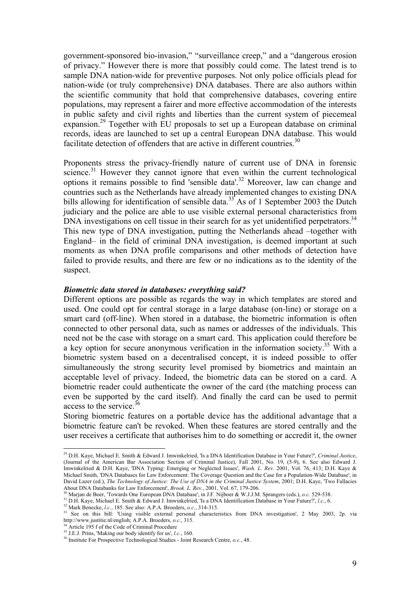government-sponsored bio-invasion," "surveillance creep," and a "dangerous erosion of privacy." However there is more that possibly could come. The latest trend is to sample DNA nation-wide for preventive purposes. Not only police officials plead for nation-wide (or truly comprehensive) DNA databases. There are also authors within the scientific community that hold that comprehensive databases, covering entire populations, may represent a fairer and more effective accommodation of the interests in public safety and civil rights and liberties than the current system of piecemeal expansion.29 Together with EU proposals to set up a European database on criminal records, ideas are launched to set up a central European DNA database. This would facilitate detection of offenders that are active in different countries.<sup>30</sup>

Proponents stress the privacy-friendly nature of current use of DNA in forensic science.<sup>31</sup> However they cannot ignore that even within the current technological options it remains possible to find 'sensible data'.<sup>32</sup> Moreover, law can change and countries such as the Netherlands have already implemented changes to existing DNA bills allowing for identification of sensible data.<sup>33</sup> As of 1 September 2003 the Dutch judiciary and the police are able to use visible external personal characteristics from DNA investigations on cell tissue in their search for as yet unidentified perpetrators.<sup>34</sup> This new type of DNA investigation, putting the Netherlands ahead –together with England– in the field of criminal DNA investigation, is deemed important at such moments as when DNA profile comparisons and other methods of detection have failed to provide results, and there are few or no indications as to the identity of the suspect.

#### *Biometric data stored in databases: everything said?*

Different options are possible as regards the way in which templates are stored and used. One could opt for central storage in a large database (on-line) or storage on a smart card (off-line). When stored in a database, the biometric information is often connected to other personal data, such as names or addresses of the individuals. This need not be the case with storage on a smart card. This application could therefore be a key option for secure anonymous verification in the information society.<sup>35</sup> With a biometric system based on a decentralised concept, it is indeed possible to offer simultaneously the strong security level promised by biometrics and maintain an acceptable level of privacy. Indeed, the biometric data can be stored on a card. A biometric reader could authenticate the owner of the card (the matching process can even be supported by the card itself). And finally the card can be used to permit access to the service  $36$ 

Storing biometric features on a portable device has the additional advantage that a biometric feature can't be revoked. When these features are stored centrally and the user receives a certificate that authorises him to do something or accredit it, the owner

<sup>29</sup> D.H. Kaye, Michael E. Smith & Edward J. Imwinkelried, 'Is a DNA Identification Database in Your Future?', *Criminal Justice*, (Journal of the American Bar Association Section of Criminal Justice), Fall 2001, No. 19, (5-9), 6. See also Edward J. Imwinkelried & D.H. Kaye, 'DNA Typing: Emerging or Neglected Issues', *Wash. L. Rev.* 2001, Vol. 76, 413; D.H. Kaye & Michael Smith, 'DNA Databases for Law Enforcement: The Coverage Question and the Case for a Population-Wide Database', in David Lazer (ed.), *The Technology of Justice: The Use of DNA in the Criminal Justice System*, 2001; D.H. Kaye, 'Two Fallacies About DNA Databanks for Law Enforcement', *Brook. L. Rev.*, 2001, Vol. 67, 179-206.

<sup>&</sup>lt;sup>30</sup> Marjan de Boer, 'Towards One European DNA Database', in J.F. Nijboer & W.J.J.M. Sprangers (eds.), *o.c.* 529-538.<br><sup>31</sup> D.H. Kaye, Michael E. Smith & Edward J. Imwinkelried, 'Is a DNA Identification Database in Your F http://www.justitie.nl/english; A.P.A. Broeders, *o.c.*, 315.<br><sup>34</sup> Article 195 f of the Code of Criminal Procedure<br><sup>35</sup> J.E.J. Prins, 'Making our body identify for us', *l.c.*, 160.

<sup>&</sup>lt;sup>36</sup> Institute For Prospective Technological Studies - Joint Research Centre, *o.c.*, 48.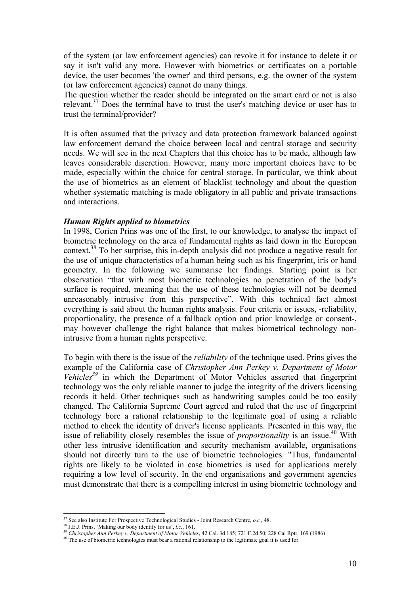of the system (or law enforcement agencies) can revoke it for instance to delete it or say it isn't valid any more. However with biometrics or certificates on a portable device, the user becomes 'the owner' and third persons, e.g. the owner of the system (or law enforcement agencies) cannot do many things.

The question whether the reader should be integrated on the smart card or not is also relevant.<sup>37</sup> Does the terminal have to trust the user's matching device or user has to trust the terminal/provider?

It is often assumed that the privacy and data protection framework balanced against law enforcement demand the choice between local and central storage and security needs. We will see in the next Chapters that this choice has to be made, although law leaves considerable discretion. However, many more important choices have to be made, especially within the choice for central storage. In particular, we think about the use of biometrics as an element of blacklist technology and about the question whether systematic matching is made obligatory in all public and private transactions and interactions.

#### *Human Rights applied to biometrics*

In 1998, Corien Prins was one of the first, to our knowledge, to analyse the impact of biometric technology on the area of fundamental rights as laid down in the European context.38 To her surprise, this in-depth analysis did not produce a negative result for the use of unique characteristics of a human being such as his fingerprint, iris or hand geometry. In the following we summarise her findings. Starting point is her observation "that with most biometric technologies no penetration of the body's surface is required, meaning that the use of these technologies will not be deemed unreasonably intrusive from this perspective". With this technical fact almost everything is said about the human rights analysis. Four criteria or issues, -reliability, proportionality, the presence of a fallback option and prior knowledge or consent-, may however challenge the right balance that makes biometrical technology nonintrusive from a human rights perspective.

To begin with there is the issue of the *reliability* of the technique used. Prins gives the example of the California case of *Christopher Ann Perkey v. Department of Motor Vehicles*<sup>39</sup> in which the Department of Motor Vehicles asserted that fingerprint technology was the only reliable manner to judge the integrity of the drivers licensing records it held. Other techniques such as handwriting samples could be too easily changed. The California Supreme Court agreed and ruled that the use of fingerprint technology bore a rational relationship to the legitimate goal of using a reliable method to check the identity of driver's license applicants. Presented in this way, the issue of reliability closely resembles the issue of *proportionality* is an issue.<sup>40</sup> With other less intrusive identification and security mechanism available, organisations should not directly turn to the use of biometric technologies. "Thus, fundamental rights are likely to be violated in case biometrics is used for applications merely requiring a low level of security. In the end organisations and government agencies must demonstrate that there is a compelling interest in using biometric technology and

 $\overline{a}$ 

<sup>&</sup>lt;sup>37</sup> See also Institute For Prospective Technological Studies - Joint Research Centre, *o.c.*, 48.<br><sup>38</sup> J.E.J. Prins, 'Making our body identify for us', *l.c.*, 161.<br><sup>39</sup> Christopher Ann Perkey v. Department of Motor Vehi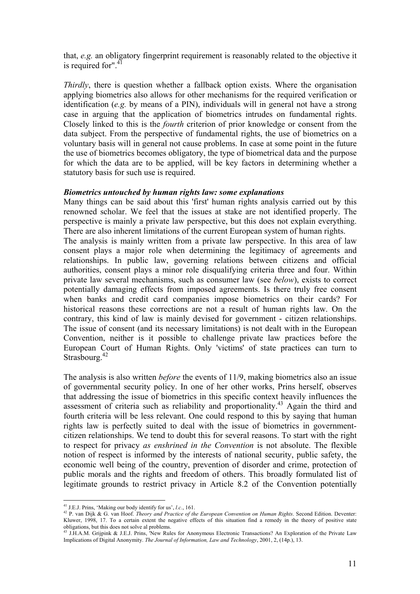that, *e.g.* an obligatory fingerprint requirement is reasonably related to the objective it is required for".<sup>41</sup>

*Thirdly*, there is question whether a fallback option exists. Where the organisation applying biometrics also allows for other mechanisms for the required verification or identification (*e.g.* by means of a PIN), individuals will in general not have a strong case in arguing that the application of biometrics intrudes on fundamental rights. Closely linked to this is the *fourth* criterion of prior knowledge or consent from the data subject. From the perspective of fundamental rights, the use of biometrics on a voluntary basis will in general not cause problems. In case at some point in the future the use of biometrics becomes obligatory, the type of biometrical data and the purpose for which the data are to be applied, will be key factors in determining whether a statutory basis for such use is required.

#### *Biometrics untouched by human rights law: some explanations*

Many things can be said about this 'first' human rights analysis carried out by this renowned scholar. We feel that the issues at stake are not identified properly. The perspective is mainly a private law perspective, but this does not explain everything. There are also inherent limitations of the current European system of human rights. The analysis is mainly written from a private law perspective. In this area of law consent plays a major role when determining the legitimacy of agreements and relationships. In public law, governing relations between citizens and official authorities, consent plays a minor role disqualifying criteria three and four. Within private law several mechanisms, such as consumer law (see *below*), exists to correct potentially damaging effects from imposed agreements. Is there truly free consent when banks and credit card companies impose biometrics on their cards? For historical reasons these corrections are not a result of human rights law. On the contrary, this kind of law is mainly devised for government - citizen relationships. The issue of consent (and its necessary limitations) is not dealt with in the European Convention, neither is it possible to challenge private law practices before the European Court of Human Rights. Only 'victims' of state practices can turn to Strasbourg.<sup>42</sup>

The analysis is also written *before* the events of 11/9, making biometrics also an issue of governmental security policy. In one of her other works, Prins herself, observes that addressing the issue of biometrics in this specific context heavily influences the assessment of criteria such as reliability and proportionality.<sup>43</sup> Again the third and fourth criteria will be less relevant. One could respond to this by saying that human rights law is perfectly suited to deal with the issue of biometrics in governmentcitizen relationships. We tend to doubt this for several reasons. To start with the right to respect for privacy *as enshrined in the Convention* is not absolute. The flexible notion of respect is informed by the interests of national security, public safety, the economic well being of the country, prevention of disorder and crime, protection of public morals and the rights and freedom of others. This broadly formulated list of legitimate grounds to restrict privacy in Article 8.2 of the Convention potentially

<sup>&</sup>lt;sup>41</sup> J.E.J. Prins. 'Making our body identify for us', *l.c.*, 161.

<sup>42</sup> P. van Dijk & G. van Hoof. *Theory and Practice of the European Convention on Human Rights*. Second Edition. Deventer: Kluwer, 1998, 17. To a certain extent the negative effects of this situation find a remedy in the theory of positive state obligations, but this does not solve al problems.<br> $^{43}$  LH AM C in the solve al problems.

<sup>43</sup> J.H.A.M. Grijpink & J.E.J. Prins, 'New Rules for Anonymous Electronic Transactions? An Exploration of the Private Law Implications of Digital Anonymity. *The Journal of Information, Law and Technology*, 2001, 2, (14p.), 13.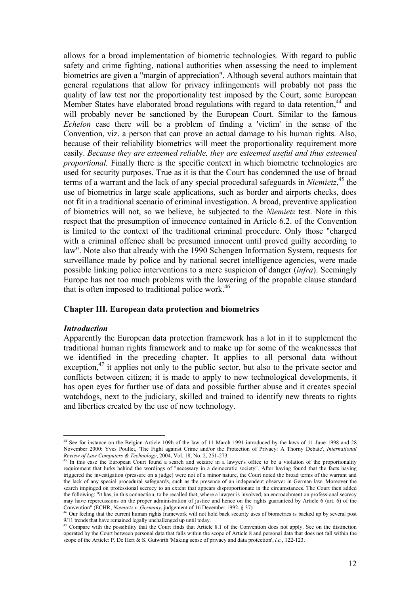allows for a broad implementation of biometric technologies. With regard to public safety and crime fighting, national authorities when assessing the need to implement biometrics are given a "margin of appreciation". Although several authors maintain that general regulations that allow for privacy infringements will probably not pass the quality of law test nor the proportionality test imposed by the Court, some European Member States have elaborated broad regulations with regard to data retention,  $44$  and will probably never be sanctioned by the European Court. Similar to the famous *Echelon* case there will be a problem of finding a 'victim' in the sense of the Convention, viz. a person that can prove an actual damage to his human rights. Also, because of their reliability biometrics will meet the proportionality requirement more easily. *Because they are esteemed reliable, they are esteemed useful and thus esteemed proportional.* Finally there is the specific context in which biometric technologies are used for security purposes. True as it is that the Court has condemned the use of broad terms of a warrant and the lack of any special procedural safeguards in *Niemietz*, 45 the use of biometrics in large scale applications, such as border and airports checks, does not fit in a traditional scenario of criminal investigation. A broad, preventive application of biometrics will not, so we believe, be subjected to the *Niemietz* test. Note in this respect that the presumption of innocence contained in Article 6.2. of the Convention is limited to the context of the traditional criminal procedure. Only those "charged with a criminal offence shall be presumed innocent until proved guilty according to law". Note also that already with the 1990 Schengen Information System, requests for surveillance made by police and by national secret intelligence agencies, were made possible linking police interventions to a mere suspicion of danger (*infra*). Seemingly Europe has not too much problems with the lowering of the propable clause standard that is often imposed to traditional police work.<sup>46</sup>

#### **Chapter III. European data protection and biometrics**

#### *Introduction*

Apparently the European data protection framework has a lot in it to supplement the traditional human rights framework and to make up for some of the weaknesses that we identified in the preceding chapter. It applies to all personal data without exception, $47$  it applies not only to the public sector, but also to the private sector and conflicts between citizen; it is made to apply to new technological developments, it has open eyes for further use of data and possible further abuse and it creates special watchdogs, next to the judiciary, skilled and trained to identify new threats to rights and liberties created by the use of new technology.

 $\overline{a}$ 44 See for instance on the Belgian Article 109b of the law of 11 March 1991 introduced by the laws of 11 June 1998 and 28 November 2000: Yves Poullet, 'The Fight against Crime and/or the Protection of Privacy: A Thorny Debate', *International Review of Law Computers & Technology*, 2004, Vol. 18, No. 2, 251-273.<br><sup>45</sup> In this case the European Court found a search and seizure in a lawyer's office to be a violation of the proportionality

requirement that lurks behind the wordings of "necessary in a democratic society". After having found that the facts having triggered the investigation (pressure on a judge) were not of a minor nature, the Court noted the broad terms of the warrant and the lack of any special procedural safeguards, such as the presence of an independent observer in German law. Moreover the search impinged on professional secrecy to an extent that appears disproportionate in the circumstances. The Court then added the following: "it has, in this connection, to be recalled that, where a lawyer is involved, an encroachment on professional secrecy may have repercussions on the proper administration of justice and hence on the rights guaranteed by Article 6 (art. 6) of the Convention" (ECHR, *Niemietz v. Germany*, judgement of 16 December 1992, § 37)

<sup>&</sup>lt;sup>46</sup> Our feeling that the current human rights framework will not hold back security uses of biometrics is backed up by several post 9/11 trends that have remained legally unchallenged up until today.<br><sup>47</sup> Compare with the possibility that the Court finds that Article 8.1 of the Convention does not apply. See on the distinction <sup>47</sup>

operated by the Court between personal data that falls within the scope of Article 8 and personal data that does not fall within the scope of the Article: P. De Hert & S. Gutwirth 'Making sense of privacy and data protection', *l.c.*, 122-123.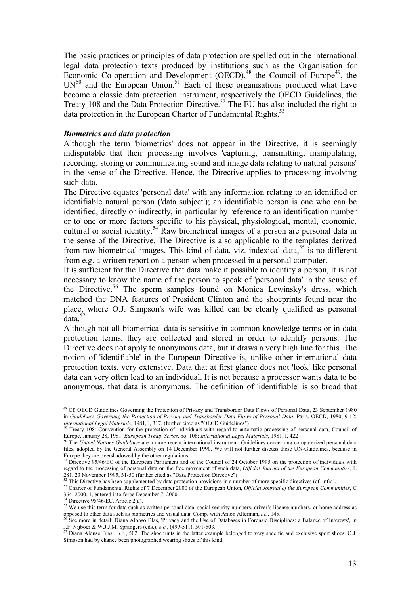The basic practices or principles of data protection are spelled out in the international legal data protection texts produced by institutions such as the Organisation for Economic Co-operation and Development  $(OECD)$ ,<sup>48</sup> the Council of Europe<sup>49</sup>, the  $UN<sup>50</sup>$  and the European Union.<sup>51</sup> Each of these organisations produced what have become a classic data protection instrument, respectively the OECD Guidelines, the Treaty 108 and the Data Protection Directive.<sup>52</sup> The EU has also included the right to data protection in the European Charter of Fundamental Rights.<sup>53</sup>

#### *Biometrics and data protection*

Although the term 'biometrics' does not appear in the Directive, it is seemingly indisputable that their processing involves 'capturing, transmitting, manipulating, recording, storing or communicating sound and image data relating to natural persons' in the sense of the Directive. Hence, the Directive applies to processing involving such data.

The Directive equates 'personal data' with any information relating to an identified or identifiable natural person ('data subject'); an identifiable person is one who can be identified, directly or indirectly, in particular by reference to an identification number or to one or more factors specific to his physical, physiological, mental, economic, cultural or social identity.<sup>54</sup> Raw biometrical images of a person are personal data in the sense of the Directive. The Directive is also applicable to the templates derived from raw biometrical images. This kind of data, viz. indexical data,  $55$  is no different from e.g. a written report on a person when processed in a personal computer.

It is sufficient for the Directive that data make it possible to identify a person, it is not necessary to know the name of the person to speak of 'personal data' in the sense of the Directive.<sup>56</sup> The sperm samples found on Monica Lewinsky's dress, which matched the DNA features of President Clinton and the shoeprints found near the place, where O.J. Simpson's wife was killed can be clearly qualified as personal data.<sup>5</sup>

Although not all biometrical data is sensitive in common knowledge terms or in data protection terms, they are collected and stored in order to identify persons. The Directive does not apply to anonymous data, but it draws a very high line for this. The notion of 'identifiable' in the European Directive is, unlike other international data protection texts, very extensive. Data that at first glance does not 'look' like personal data can very often lead to an individual. It is not because a processor wants data to be anonymous, that data is anonymous. The definition of 'identifiable' is so broad that

<sup>&</sup>lt;sup>48</sup> Cf. OECD Guidelines Governing the Protection of Privacy and Transborder Data Flows of Personal Data, 23 September 1980 in *Guidelines Governing the Protection of Privacy and Transborder Data Flows of Personal Data*, Paris, OECD, 1980, 9-12;

<sup>&</sup>lt;sup>49</sup> Treaty 108: Convention for the protection of individuals with regard to automatic processing of personal data, Council of Europe, January 28, 1981, *European Treaty Series*, no. 108: *International Legal Materials*, 1

<sup>&</sup>lt;sup>50</sup> The United Nations Guidelines are a more recent international instrument. Guidelines concerning computerized personal data files, adopted by the General Assembly on 14 December 1990. We will not further discuss these UN-Guidelines, because in Europe they are overshadowed by the other regulations.<br>
Europe they are overshadowed by the other regulations.

<sup>51</sup> Directive 95/46/EC of the European Parliament and of the Council of 24 October 1995 on the protection of individuals with regard to the processing of personal data on the free movement of such data, *Official Journal of the European Communities*, L 281, 23 November 1995, 31-50 (further cited as "Data Protection Directive")<br>
<sup>52</sup> This Directive has been supplemented by data protection Directive")<br>
<sup>52</sup> This Directive has been supplemented by data protection provision

<sup>364, 2000, 1,</sup> entered into force December 7, 2000.

 $54$  Directive 95/46/EC, Article 2(a).

<sup>&</sup>lt;sup>55</sup> We use this term for data such as written personal data, social security numbers, driver's license numbers, or home address as or and terms can be the data such as biometrics and visual data. Comp. with Anton Alterman, *Le.*, 145.<br><sup>56</sup> See more in detail: Diana Alonso Blas, 'Privacy and the Use of Databases in Forensic Disciplines: a Balance of In

J.F. Nijboer & W.J.J.M. Sprangers (eds.), *o.c.*, (499-511), 501-503. 57 Diana Alonso Blas, , *l.c.*, 502. The shoeprints in the latter example belonged to very specific and exclusive sport shoes. O.J.

Simpson had by chance been photographed wearing shoes of this kind.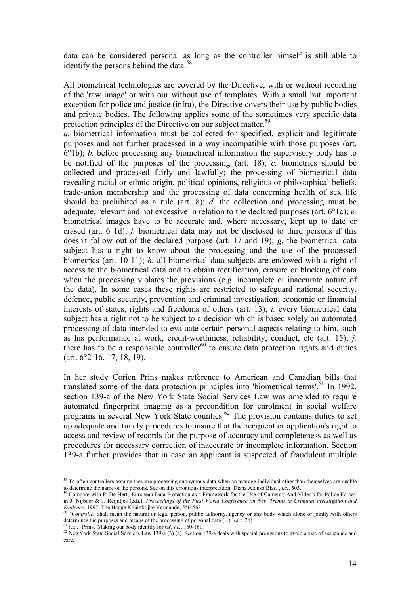data can be considered personal as long as the controller himself is still able to identify the persons behind the data. $58$ 

All biometrical technologies are covered by the Directive, with or without recording of the 'raw image' or with our without use of templates. With a small but important exception for police and justice (infra), the Directive covers their use by public bodies and private bodies. The following applies some of the sometimes very specific data protection principles of the Directive on our subject matter.<sup>59</sup>

*a.* biometrical information must be collected for specified, explicit and legitimate purposes and not further processed in a way incompatible with those purposes (art. 6°1b); *b.* before processing any biometrical information the supervisory body has to be notified of the purposes of the processing (art. 18); *c.* biometrics should be collected and processed fairly and lawfully; the processing of biometrical data revealing racial or ethnic origin, political opinions, religious or philosophical beliefs, trade-union membership and the processing of data concerning health of sex life should be prohibited as a rule (art. 8); *d.* the collection and processing must be adequate, relevant and not excessive in relation to the declared purposes (art. 6°1c); *e.*  biometrical images have to be accurate and, where necessary, kept up to date or erased (art. 6°1d); *f.* biometrical data may not be disclosed to third persons if this doesn't follow out of the declared purpose (art. 17 and 19); *g.* the biometrical data subject has a right to know about the processing and the use of the processed biometrics (art. 10-11); *h.* all biometrical data subjects are endowed with a right of access to the biometrical data and to obtain rectification, erasure or blocking of data when the processing violates the provisions (e.g. incomplete or inaccurate nature of the data). In some cases these rights are restricted to safeguard national security, defence, public security, prevention and criminal investigation, economic or financial interests of states, rights and freedoms of others (art. 13); *i.* every biometrical data subject has a right not to be subject to a decision which is based solely on automated processing of data intended to evaluate certain personal aspects relating to him, such as his performance at work, credit-worthiness, reliability, conduct, etc (art. 15); *j.*  there has to be a responsible controller<sup>60</sup> to ensure data protection rights and duties (art. 6°2-16, 17, 18, 19).

In her study Corien Prins makes reference to American and Canadian bills that translated some of the data protection principles into 'biometrical terms'.<sup>61</sup> In 1992, section 139-a of the New York State Social Services Law was amended to require automated fingerprint imaging as a precondition for enrolment in social welfare programs in several New York State counties.<sup>62</sup> The provision contains duties to set up adequate and timely procedures to insure that the recipient or application's right to access and review of records for the purpose of accuracy and completeness as well as procedures for necessary correction of inaccurate or incomplete information. Section 139-a further provides that in case an applicant is suspected of fraudulent multiple

<sup>&</sup>lt;sup>58</sup> To often controllers assume they are processing anonymous data when an avarage individual other than themselves are unable to determine the name of the persons. See on this erronuous interpretation: Diana Alonso Blas, *, l.c.*, 503.<br><sup>59</sup> Compare with P. De Hert, 'European Data Protection as a Framework for the Use of Camera's And Video's for P

in J. Nijboer & J. Reijntjes (eds.), *Proceedings of the First World Conference on New Trends in Criminal Investigation and* 

*Evidence, 1997, The Hague Koninklight Shall mean the natural or legal person, public authority, agency or any body which alone or jointly with others determines the purposes and means of the processing of personal data (.* 

<sup>&</sup>lt;sup>61</sup> J.E.J. Prins, 'Making our body identify for us', *l.c.*, 160-161.<br><sup>62</sup> New York State Social Services Law 139-a (3) (a). Section 139-a deals with special provisions to avoid abuse of assistance and care.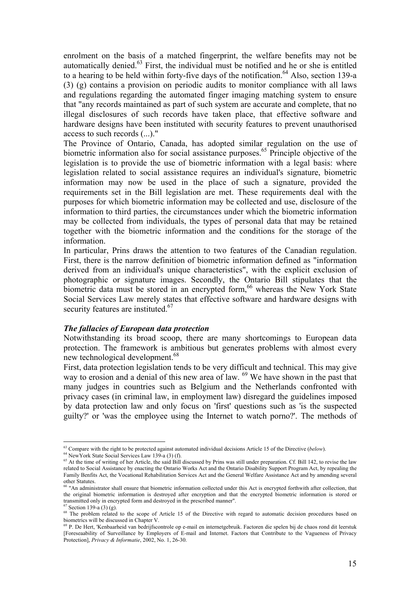enrolment on the basis of a matched fingerprint, the welfare benefits may not be automatically denied.63 First, the individual must be notified and he or she is entitled to a hearing to be held within forty-five days of the notification.<sup>64</sup> Also, section 139-a (3) (g) contains a provision on periodic audits to monitor compliance with all laws and regulations regarding the automated finger imaging matching system to ensure that "any records maintained as part of such system are accurate and complete, that no illegal disclosures of such records have taken place, that effective software and hardware designs have been instituted with security features to prevent unauthorised access to such records (...)."

The Province of Ontario, Canada, has adopted similar regulation on the use of biometric information also for social assistance purposes.<sup>65</sup> Principle objective of the legislation is to provide the use of biometric information with a legal basis: where legislation related to social assistance requires an individual's signature, biometric information may now be used in the place of such a signature, provided the requirements set in the Bill legislation are met. These requirements deal with the purposes for which biometric information may be collected and use, disclosure of the information to third parties, the circumstances under which the biometric information may be collected from individuals, the types of personal data that may be retained together with the biometric information and the conditions for the storage of the information.

In particular, Prins draws the attention to two features of the Canadian regulation. First, there is the narrow definition of biometric information defined as "information derived from an individual's unique characteristics", with the explicit exclusion of photographic or signature images. Secondly, the Ontario Bill stipulates that the biometric data must be stored in an encrypted form,<sup>66</sup> whereas the New York State Social Services Law merely states that effective software and hardware designs with security features are instituted.<sup>67</sup>

#### *The fallacies of European data protection*

Notwithstanding its broad scoop, there are many shortcomings to European data protection. The framework is ambitious but generates problems with almost every new technological development.<sup>68</sup>

First, data protection legislation tends to be very difficult and technical. This may give way to erosion and a denial of this new area of law.  $^{69}$  We have shown in the past that many judges in countries such as Belgium and the Netherlands confronted with privacy cases (in criminal law, in employment law) disregard the guidelines imposed by data protection law and only focus on 'first' questions such as 'is the suspected guilty?' or 'was the employee using the Internet to watch porno?'. The methods of

 $\overline{a}$ 63 Compare with the right to be protected against automated individual decisions Article 15 of the Directive (*below*). 64 NewYork State Social Services Law 139-a (3) (f).

<sup>&</sup>lt;sup>64</sup> New York State Social Services Law 139-a (3) (f).<br><sup>65</sup> At the time of writing of her Article, the said Bill discussed by Prins was still under preparation. Cf. Bill 142, to revise the law related to Social Assistance by enacting the Ontario Works Act and the Ontario Disability Support Program Act, by repealing the Family Benfits Act, the Vocational Rehabilitation Services Act and the General Welfare Assistance Act and by amending several other Statutes.

<sup>&</sup>quot;An administrator shall ensure that biometric information collected under this Act is encrypted forthwith after collection, that the original biometric information is destroyed after encryption and that the encrypted biometric information is stored or transmitted only in encrypted form and destroyed in the prescribed manner". 67 Section 139-a (3) (g).

<sup>&</sup>lt;sup>68</sup> The problem related to the scope of Article 15 of the Directive with regard to automatic decision procedures based on biometrics will be discussed in Chapter V.

<sup>69</sup> P. De Hert, 'Kenbaarheid van bedrijfscontrole op e-mail en internetgebruik. Factoren die spelen bij de chaos rond dit leerstuk [Foreseaability of Surveillance by Employers of E-mail and Internet. Factors that Contribute to the Vagueness of Privacy Protection], *Privacy & Informatie*, 2002, No. 1, 26-30.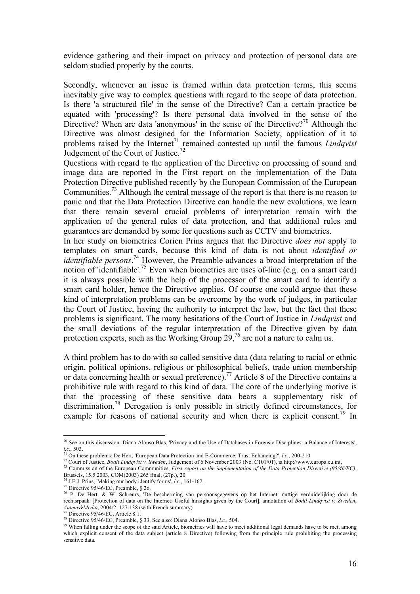evidence gathering and their impact on privacy and protection of personal data are seldom studied properly by the courts.

Secondly, whenever an issue is framed within data protection terms, this seems inevitably give way to complex questions with regard to the scope of data protection. Is there 'a structured file' in the sense of the Directive? Can a certain practice be equated with 'processing'? Is there personal data involved in the sense of the Directive? When are data 'anonymous' in the sense of the Directive?<sup>70</sup> Although the Directive was almost designed for the Information Society, application of it to problems raised by the Internet<sup>71</sup> remained contested up until the famous *Lindqvist* Judgement of the Court of Justice.<sup>72</sup>

Questions with regard to the application of the Directive on processing of sound and image data are reported in the First report on the implementation of the Data Protection Directive published recently by the European Commission of the European Communities.<sup>73</sup> Although the central message of the report is that there is no reason to panic and that the Data Protection Directive can handle the new evolutions, we learn that there remain several crucial problems of interpretation remain with the application of the general rules of data protection, and that additional rules and guarantees are demanded by some for questions such as CCTV and biometrics.

In her study on biometrics Corien Prins argues that the Directive *does not* apply to templates on smart cards, because this kind of data is not about *identified or identifiable persons*. 74 However, the Preamble advances a broad interpretation of the notion of 'identifiable'.<sup>75</sup> Even when biometrics are uses of-line (e.g. on a smart card) it is always possible with the help of the processor of the smart card to identify a smart card holder, hence the Directive applies. Of course one could argue that these kind of interpretation problems can be overcome by the work of judges, in particular the Court of Justice, having the authority to interpret the law, but the fact that these problems is significant. The many hesitations of the Court of Justice in *Lindqvist* and the small deviations of the regular interpretation of the Directive given by data protection experts, such as the Working Group 29,<sup>76</sup> are not a nature to calm us.

A third problem has to do with so called sensitive data (data relating to racial or ethnic origin, political opinions, religious or philosophical beliefs, trade union membership or data concerning health or sexual preference).<sup>77</sup> Article 8 of the Directive contains a prohibitive rule with regard to this kind of data. The core of the underlying motive is that the processing of these sensitive data bears a supplementary risk of discrimination.78 Derogation is only possible in strictly defined circumstances, for example for reasons of national security and when there is explicit consent.<sup>79</sup> In

 $70$  See on this discussion: Diana Alonso Blas, 'Privacy and the Use of Databases in Forensic Disciplines: a Balance of Interests',

*l.c.*, 503.<br><sup>71</sup> On these problems: De Hert, 'European Data Protection and E-Commerce: Trust Enhancing?', *l.c.*, 200-210<br><sup>72</sup> Court of Justice, *Bodil Lindqvist v. Sweden*, Judgement of 6 November 2003 (No. C101/01), ia

Brussels, 15.5.2003, COM(2003) 265 final, (27p.), 20<sup>2</sup><sup>74</sup> J.E.J. Prins, 'Making our body identify for us', *l.c.*, 161-162.

<sup>74</sup> J.E.J. Prins, 'Making our body identify for us', *l.c.*, 161-162. 75 Directive 95/46/EC, Preamble, § 26.

<sup>&</sup>lt;sup>76</sup> P. De Hert. & W. Schreurs, 'De bescherming van persoonsgegevens op het Internet: nuttige verduidelijking door de rechtsrpaak' [Protection of data on the Internet: Useful hinsights given by the Court], annotation of *Bodil Lindqvist v. Zweden*, *Auteur&Media*, 2004/2, 127-138 (with French summary)<br><sup>77</sup> Directive 95/46/EC, Article 8.1.<br><sup>78</sup> Directive 95/46/EC, Preamble, § 33. See also: Diana Alonso Blas, *l.c.*, 504.

<sup>&</sup>lt;sup>79</sup> When falling under the scope of the said Article, biometrics will have to meet additional legal demands have to be met, among which explicit consent of the data subject (article 8 Directive) following from the principle rule prohibiting the processing sensitive data.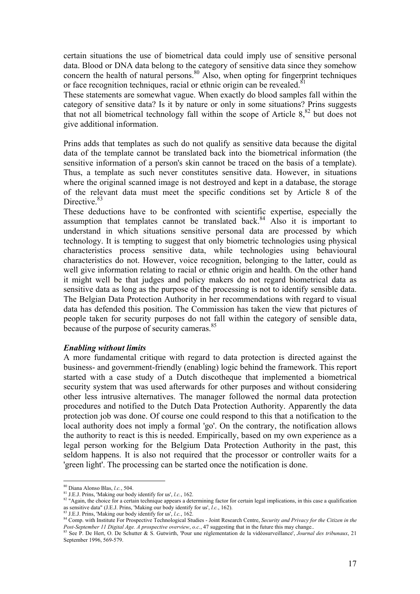certain situations the use of biometrical data could imply use of sensitive personal data. Blood or DNA data belong to the category of sensitive data since they somehow concern the health of natural persons. $80$  Also, when opting for fingerprint techniques or face recognition techniques, racial or ethnic origin can be revealed.<sup>81</sup>

These statements are somewhat vague. When exactly do blood samples fall within the category of sensitive data? Is it by nature or only in some situations? Prins suggests that not all biometrical technology fall within the scope of Article  $8<sup>82</sup>$  but does not give additional information.

Prins adds that templates as such do not qualify as sensitive data because the digital data of the template cannot be translated back into the biometrical information (the sensitive information of a person's skin cannot be traced on the basis of a template). Thus, a template as such never constitutes sensitive data. However, in situations where the original scanned image is not destroyed and kept in a database, the storage of the relevant data must meet the specific conditions set by Article 8 of the Directive.<sup>83</sup>

These deductions have to be confronted with scientific expertise, especially the assumption that templates cannot be translated back. $84$  Also it is important to understand in which situations sensitive personal data are processed by which technology. It is tempting to suggest that only biometric technologies using physical characteristics process sensitive data, while technologies using behavioural characteristics do not. However, voice recognition, belonging to the latter, could as well give information relating to racial or ethnic origin and health. On the other hand it might well be that judges and policy makers do not regard biometrical data as sensitive data as long as the purpose of the processing is not to identify sensible data. The Belgian Data Protection Authority in her recommendations with regard to visual data has defended this position. The Commission has taken the view that pictures of people taken for security purposes do not fall within the category of sensible data, because of the purpose of security cameras.<sup>85</sup>

#### *Enabling without limits*

A more fundamental critique with regard to data protection is directed against the business- and government-friendly (enabling) logic behind the framework. This report started with a case study of a Dutch discotheque that implemented a biometrical security system that was used afterwards for other purposes and without considering other less intrusive alternatives. The manager followed the normal data protection procedures and notified to the Dutch Data Protection Authority. Apparently the data protection job was done. Of course one could respond to this that a notification to the local authority does not imply a formal 'go'. On the contrary, the notification allows the authority to react is this is needed. Empirically, based on my own experience as a legal person working for the Belgium Data Protection Authority in the past, this seldom happens. It is also not required that the processor or controller waits for a 'green light'. The processing can be started once the notification is done.

<sup>&</sup>lt;sup>80</sup> Diana Alonso Blas, *l.c.*, 504.

<sup>&</sup>lt;sup>81</sup> J.E.J. Prins, 'Making our body identify for us', *l.c.*, 162.<br><sup>82</sup> "Again, the choice for a certain technique appears a determining factor for certain legal implications, in this case a qualification as sensitive dat

<sup>83</sup> J.E.J. Prins, 'Making our body identify for us', *l.e.*, 162.<br><sup>84</sup> Comp. with Institute For Prospective Technological Studies - Joint Research Centre, *Security and Privacy for the Citizen in the* Post-September 11 Digital Age. A prospective overview, o.c., 47 suggesting that in the future this may change.<br><sup>85</sup> See P. De Hert, O. De Schutter & S. Gutwirth, 'Pour une réglementation de la vidéosurveillance', Journal d

September 1996, 569-579.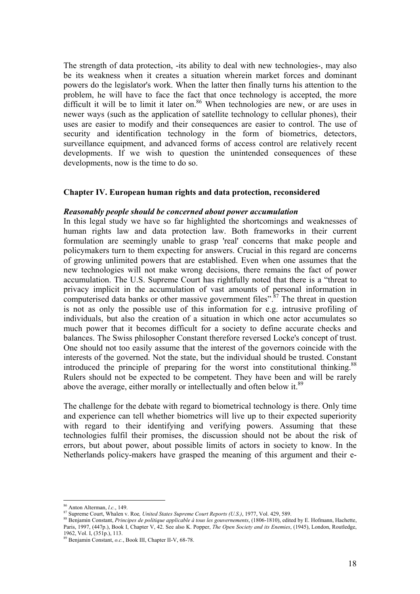The strength of data protection, -its ability to deal with new technologies-, may also be its weakness when it creates a situation wherein market forces and dominant powers do the legislator's work. When the latter then finally turns his attention to the problem, he will have to face the fact that once technology is accepted, the more difficult it will be to limit it later on.<sup>86</sup> When technologies are new, or are uses in newer ways (such as the application of satellite technology to cellular phones), their uses are easier to modify and their consequences are easier to control. The use of security and identification technology in the form of biometrics, detectors, surveillance equipment, and advanced forms of access control are relatively recent developments. If we wish to question the unintended consequences of these developments, now is the time to do so.

#### **Chapter IV. European human rights and data protection, reconsidered**

#### *Reasonably people should be concerned about power accumulation*

In this legal study we have so far highlighted the shortcomings and weaknesses of human rights law and data protection law. Both frameworks in their current formulation are seemingly unable to grasp 'real' concerns that make people and policymakers turn to them expecting for answers. Crucial in this regard are concerns of growing unlimited powers that are established. Even when one assumes that the new technologies will not make wrong decisions, there remains the fact of power accumulation. The U.S. Supreme Court has rightfully noted that there is a "threat to privacy implicit in the accumulation of vast amounts of personal information in computerised data banks or other massive government files".<sup>87</sup> The threat in question is not as only the possible use of this information for e.g. intrusive profiling of individuals, but also the creation of a situation in which one actor accumulates so much power that it becomes difficult for a society to define accurate checks and balances. The Swiss philosopher Constant therefore reversed Locke's concept of trust. One should not too easily assume that the interest of the governors coincide with the interests of the governed. Not the state, but the individual should be trusted. Constant introduced the principle of preparing for the worst into constitutional thinking.<sup>88</sup> Rulers should not be expected to be competent. They have been and will be rarely above the average, either morally or intellectually and often below it.<sup>89</sup>

The challenge for the debate with regard to biometrical technology is there. Only time and experience can tell whether biometrics will live up to their expected superiority with regard to their identifying and verifying powers. Assuming that these technologies fulfil their promises, the discussion should not be about the risk of errors, but about power, about possible limits of actors in society to know. In the Netherlands policy-makers have grasped the meaning of this argument and their e-

 $\overline{a}$ 

<sup>&</sup>lt;sup>86</sup> Anton Alterman, *l.c.*, 149.<br><sup>87</sup> Supreme Court, Whalen v. Roe, *United States Supreme Court Reports (U.S.)*, 1977, Vol. 429, 589.<br><sup>88</sup> Benjamin Constant, *Principes de politique applicable à tous les gouvernements*, Paris, 1997, (447p.), Book I, Chapter V, 42. See also K. Popper, *The Open Society and its Enemies*, (1945), London, Routledge, 1962, Vol. I, (351p.), 113.

<sup>89</sup> Benjamin Constant, *o.c.*, Book III, Chapter II-V, 68-78.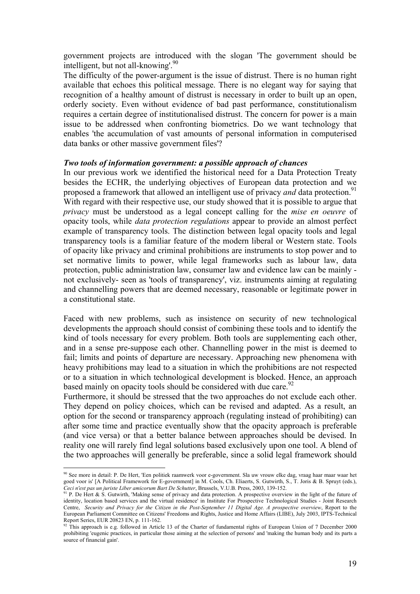government projects are introduced with the slogan 'The government should be intelligent, but not all-knowing'.<sup>90</sup>

The difficulty of the power-argument is the issue of distrust. There is no human right available that echoes this political message. There is no elegant way for saying that recognition of a healthy amount of distrust is necessary in order to built up an open, orderly society. Even without evidence of bad past performance, constitutionalism requires a certain degree of institutionalised distrust. The concern for power is a main issue to be addressed when confronting biometrics. Do we want technology that enables 'the accumulation of vast amounts of personal information in computerised data banks or other massive government files'?

#### *Two tools of information government: a possible approach of chances*

In our previous work we identified the historical need for a Data Protection Treaty besides the ECHR, the underlying objectives of European data protection and we proposed a framework that allowed an intelligent use of privacy *and* data protection.<sup>91</sup> With regard with their respective use, our study showed that it is possible to argue that *privacy* must be understood as a legal concept calling for the *mise en oeuvre* of opacity tools, while *data protection regulations* appear to provide an almost perfect example of transparency tools. The distinction between legal opacity tools and legal transparency tools is a familiar feature of the modern liberal or Western state. Tools of opacity like privacy and criminal prohibitions are instruments to stop power and to set normative limits to power, while legal frameworks such as labour law, data protection, public administration law, consumer law and evidence law can be mainly not exclusively- seen as 'tools of transparency', viz. instruments aiming at regulating and channelling powers that are deemed necessary, reasonable or legitimate power in a constitutional state.

Faced with new problems, such as insistence on security of new technological developments the approach should consist of combining these tools and to identify the kind of tools necessary for every problem. Both tools are supplementing each other, and in a sense pre-suppose each other. Channelling power in the mist is deemed to fail; limits and points of departure are necessary. Approaching new phenomena with heavy prohibitions may lead to a situation in which the prohibitions are not respected or to a situation in which technological development is blocked. Hence, an approach based mainly on opacity tools should be considered with due care.<sup>92</sup>

Furthermore, it should be stressed that the two approaches do not exclude each other. They depend on policy choices, which can be revised and adapted. As a result, an option for the second or transparency approach (regulating instead of prohibiting) can after some time and practice eventually show that the opacity approach is preferable (and vice versa) or that a better balance between approaches should be devised. In reality one will rarely find legal solutions based exclusively upon one tool. A blend of the two approaches will generally be preferable, since a solid legal framework should

<sup>90</sup> See more in detail: P. De Hert, 'Een politiek raamwerk voor e-government. Sla uw vrouw elke dag, vraag haar maar waar het goed voor is' [A Political Framework for E-government] in M. Cools, Ch. Eliaerts, S. Gutwirth, S., T. Joris & B. Spruyt (eds.), Ceci Next pas un juriste Liber amicorum Bart De Schutter, Brussels, V.U.B. Press, 2003, 139-152.<br><sup>91</sup> P. De Hert & S. Gutwirth, 'Making sense of privacy and data protection. A prospective overview in the light of the futu

identity, location based services and the virtual residence' in Institute For Prospective Technological Studies - Joint Research Centre, *Security and Privacy for the Citizen in the Post-September 11 Digital Age. A prospective overview*, Report to the European Parliament Committee on Citizens' Freedoms and Rights, Justice and Home Affairs (LIBE), July 2003, IPTS-Technical Report Series, EUR 20823 EN, p. 111-162.

 $92$  This approach is e.g. followed in Article 13 of the Charter of fundamental rights of European Union of 7 December 2000 prohibiting 'eugenic practices, in particular those aiming at the selection of persons' and 'making the human body and its parts a source of financial gain'.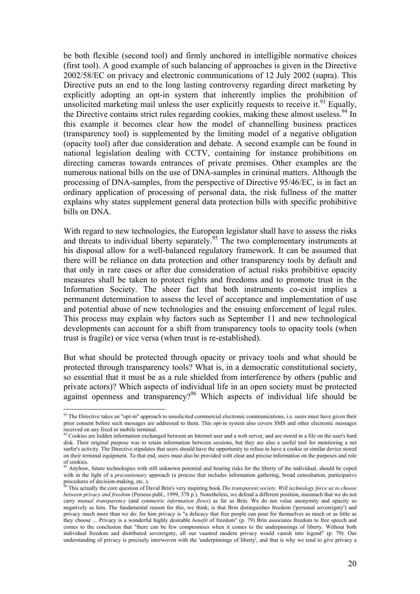be both flexible (second tool) and firmly anchored in intelligible normative choices (first tool). A good example of such balancing of approaches is given in the Directive 2002/58/EC on privacy and electronic communications of 12 July 2002 (supra). This Directive puts an end to the long lasting controversy regarding direct marketing by explicitly adopting an opt-in system that inherently implies the prohibition of unsolicited marketing mail unless the user explicitly requests to receive it.<sup>93</sup> Equally, the Directive contains strict rules regarding cookies, making these almost useless.<sup>94</sup> In this example it becomes clear how the model of channelling business practices (transparency tool) is supplemented by the limiting model of a negative obligation (opacity tool) after due consideration and debate. A second example can be found in national legislation dealing with CCTV, containing for instance prohibitions on directing cameras towards entrances of private premises. Other examples are the numerous national bills on the use of DNA-samples in criminal matters. Although the processing of DNA-samples, from the perspective of Directive 95/46/EC, is in fact an ordinary application of processing of personal data, the risk fullness of the matter explains why states supplement general data protection bills with specific prohibitive bills on DNA.

With regard to new technologies, the European legislator shall have to assess the risks and threats to individual liberty separately.<sup>95</sup> The two complementary instruments at his disposal allow for a well-balanced regulatory framework. It can be assumed that there will be reliance on data protection and other transparency tools by default and that only in rare cases or after due consideration of actual risks prohibitive opacity measures shall be taken to protect rights and freedoms and to promote trust in the Information Society. The sheer fact that both instruments co-exist implies a permanent determination to assess the level of acceptance and implementation of use and potential abuse of new technologies and the ensuing enforcement of legal rules. This process may explain why factors such as September 11 and new technological developments can account for a shift from transparency tools to opacity tools (when trust is fragile) or vice versa (when trust is re-established).

But what should be protected through opacity or privacy tools and what should be protected through transparency tools? What is, in a democratic constitutional society, so essential that it must be as a rule shielded from interference by others (public and private actors)? Which aspects of individual life in an open society must be protected against openness and transparency?<sup>96</sup> Which aspects of individual life should be

 $\overline{a}$  $93$  The Directive takes an "opt-in" approach to unsolicited commercial electronic communications, i.e. users must have given their prior consent before such messages are addressed to them. This opt-in system also covers SMS and other electronic messages received on any fixed or mobile terminal.

Cookies are hidden information exchanged between an Internet user and a web server, and are stored in a file on the user's hard disk. Their original purpose was to retain information between sessions, but they are also a useful tool for monitoring a net surfer's activity. The Directive stipulates that users should have the opportunity to refuse to have a cookie or similar device stored on their terminal equipment. To that end, users must also be provided with clear and precise information on the purposes and role of cookies.

<sup>&</sup>lt;sup>95</sup> Anyhow, future technologies with still unknown potential and bearing risks for the liberty of the individual, should be coped with in the light of a *precautionary* approach (a process that includes information gathering, broad consultation, participative procedures of decision-making, etc.).

<sup>96</sup> This actually the core question of David Brin's very inspiring book *The transparent society. Will technology force us to choose between privacy and freedom* (Perseus publ., 1999, 378 p.). Nonetheless, we defend a different position, inasmuch that we do not carry *mutual transparency* (and *symmetric information flows*) as far as Brin. We do not value anonymity and opacity so negatively as him. The fundamental reason for this, we think, is that Brin distinguishes freedom ('personal sovereignty') and privacy much more than we do: for him privacy is "a delicacy that free people can pour for themselves as much or as little as they choose ... Privacy is a wonderful highly desirable *benefit* of freedom" (p. 79) Brin associates freedom to free speech and comes to the conclusion that "there can be few compromises when it comes to the underpinnings of liberty. Without both individual freedom and distributed sovereignty, all our vaunted modern privacy would vanish into legend" (p. 79). Our understanding of privacy is precisely interwoven with the 'underpinnings of liberty', and that is why we tend to give privacy a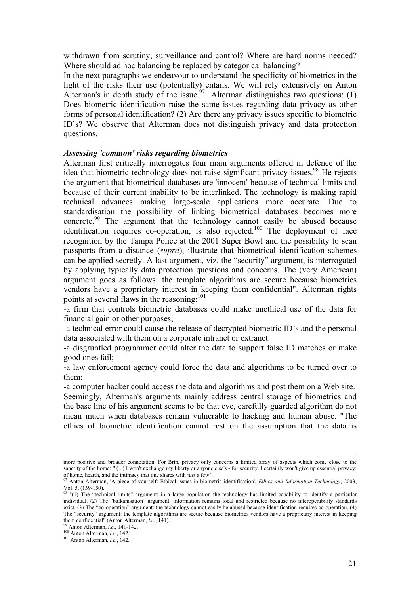withdrawn from scrutiny, surveillance and control? Where are hard norms needed? Where should ad hoc balancing be replaced by categorical balancing?

In the next paragraphs we endeavour to understand the specificity of biometrics in the light of the risks their use (potentially) entails. We will rely extensively on Anton Alterman's in depth study of the issue.<sup>97</sup> Alterman distinguishes two questions: (1) Does biometric identification raise the same issues regarding data privacy as other forms of personal identification? (2) Are there any privacy issues specific to biometric ID's? We observe that Alterman does not distinguish privacy and data protection questions.

#### *Assessing 'common' risks regarding biometrics*

Alterman first critically interrogates four main arguments offered in defence of the idea that biometric technology does not raise significant privacy issues.<sup>98</sup> He rejects the argument that biometrical databases are 'innocent' because of technical limits and because of their current inability to be interlinked. The technology is making rapid technical advances making large-scale applications more accurate. Due to standardisation the possibility of linking biometrical databases becomes more concrete.99 The argument that the technology cannot easily be abused because identification requires co-operation, is also rejected.<sup>100</sup> The deployment of face recognition by the Tampa Police at the 2001 Super Bowl and the possibility to scan passports from a distance (*supra*), illustrate that biometrical identification schemes can be applied secretly. A last argument, viz. the "security" argument, is interrogated by applying typically data protection questions and concerns. The (very American) argument goes as follows: the template algorithms are secure because biometrics vendors have a proprietary interest in keeping them confidential". Alterman rights points at several flaws in the reasoning:<sup>101</sup>

-a firm that controls biometric databases could make unethical use of the data for financial gain or other purposes;

-a technical error could cause the release of decrypted biometric ID's and the personal data associated with them on a corporate intranet or extranet.

-a disgruntled programmer could alter the data to support false ID matches or make good ones fail;

-a law enforcement agency could force the data and algorithms to be turned over to them;

-a computer hacker could access the data and algorithms and post them on a Web site.

Seemingly, Alterman's arguments mainly address central storage of biometrics and the base line of his argument seems to be that eve, carefully guarded algorithm do not mean much when databases remain vulnerable to hacking and human abuse. "The ethics of biometric identification cannot rest on the assumption that the data is

more positive and broader connotation. For Brin, privacy only concerns a limited array of aspects which come close to the sanctity of the home: " (...) I won't exchange my liberty or anyone else's - for security. I certainly won't give up essential privacy: of home, hearth, and the intimacy that one shares with just a few".<br><sup>97</sup> Anton Alterman, 'A piece of yourself: Ethical issues in biometric identification', *Ethics and Information Technology*, 2003,

Vol. 5, (139-150).

 $98$  "(1) The "technical limits" argument: in a large population the technology has limited capability to identify a particular individual. (2) The "balkanisation" argument: information remains local and restricted because no interoperability standards exist. (3) The "co-operation" argument: the technology cannot easily be abused because identification requires co-operation. (4) The "security" argument: the template algorithms are secure because biometrics vendors have a proprietary interest in keeping them confidential<sup>"</sup> (Anton Alterman, *l.c.*, 141).<br><sup>99</sup> Anton Alterman, *l.c.*, 141-142.<br><sup>100</sup> Anton Alterman, *l.c.*, 142.<br><sup>101</sup> Anton Alterman, *l.c.*, 142.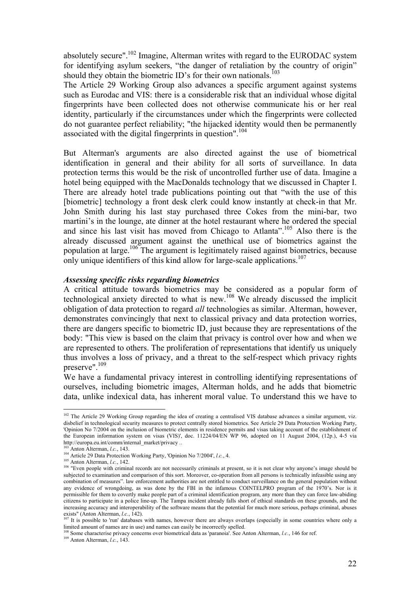absolutely secure".102 Imagine, Alterman writes with regard to the EURODAC system for identifying asylum seekers, "the danger of retaliation by the country of origin" should they obtain the biometric ID's for their own nationals.<sup>103</sup>

The Article 29 Working Group also advances a specific argument against systems such as Eurodac and VIS: there is a considerable risk that an individual whose digital fingerprints have been collected does not otherwise communicate his or her real identity, particularly if the circumstances under which the fingerprints were collected do not guarantee perfect reliability; "the hijacked identity would then be permanently associated with the digital fingerprints in question".<sup>104</sup>

But Alterman's arguments are also directed against the use of biometrical identification in general and their ability for all sorts of surveillance. In data protection terms this would be the risk of uncontrolled further use of data. Imagine a hotel being equipped with the MacDonalds technology that we discussed in Chapter I. There are already hotel trade publications pointing out that "with the use of this [biometric] technology a front desk clerk could know instantly at check-in that Mr. John Smith during his last stay purchased three Cokes from the mini-bar, two martini's in the lounge, ate dinner at the hotel restaurant where he ordered the special and since his last visit has moved from Chicago to Atlanta".<sup>105</sup> Also there is the already discussed argument against the unethical use of biometrics against the population at large.<sup>106</sup> The argument is legitimately raised against biometrics, because only unique identifiers of this kind allow for large-scale applications.<sup>107</sup>

#### *Assessing specific risks regarding biometrics*

A critical attitude towards biometrics may be considered as a popular form of technological anxiety directed to what is new.108 We already discussed the implicit obligation of data protection to regard *all* technologies as similar. Alterman, however, demonstrates convincingly that next to classical privacy and data protection worries, there are dangers specific to biometric ID, just because they are representations of the body: "This view is based on the claim that privacy is control over how and when we are represented to others. The proliferation of representations that identify us uniquely thus involves a loss of privacy, and a threat to the self-respect which privacy rights preserve".<sup>109</sup>

We have a fundamental privacy interest in controlling identifying representations of ourselves, including biometric images, Alterman holds, and he adds that biometric data, unlike indexical data, has inherent moral value. To understand this we have to

<sup>&</sup>lt;sup>102</sup> The Article 29 Working Group regarding the idea of creating a centralised VIS database advances a similar argument, viz. disbelief in technological security measures to protect centrally stored biometrics. See Article 29 Data Protection Working Party, 'Opinion No 7/2004 on the inclusion of biometric elements in residence permits and visas taking account of the establishment of the European information system on visas (VIS)', doc. 11224/04/EN WP 96, adopted on 11 August 2004, (12p.), 4-5 via<br>http://europa.eu.int/comm/internal market/privacy...

<sup>&</sup>lt;sup>103</sup> Anton Alterman, *l.c.*, 143.<br><sup>104</sup> Article 29 Data Protection Working Party, 'Opinion No 7/2004', *l.c.*, 4.<br><sup>105</sup> Anton Alterman, *l.c.*, 142.<br><sup>106</sup> "Even people with criminal records are not necessarily criminals subjected to examination and comparison of this sort. Moreover, co-operation from all persons is technically infeasible using any combination of measures". law enforcement authorities are not entitled to conduct surveillance on the general population without any evidence of wrongdoing, as was done by the FBI in the infamous COINTELPRO program of the 1970's. Nor is it permissible for them to covertly make people part of a criminal identification program, any more than they can force law-abiding citizens to participate in a police line-up. The Tampa incident already falls short of ethical standards on these grounds, and the increasing accuracy and interoperability of the software means that the potential for much more serious, perhaps criminal, abuses exists" (Anton Alterman, *l.c.*, 142).<br><sup>107</sup> It is possible to 'run' databases with names, however there are always overlaps (especially in some countries where only a

limited amount of names are in use) and names can easily be incorrectly spelled.<br><sup>108</sup> Some characterise privacy concerns over biometrical data as 'paranoia'. See Anton Alterman, *l.c.*, 146 for ref.<br><sup>109</sup> Anton Alterman,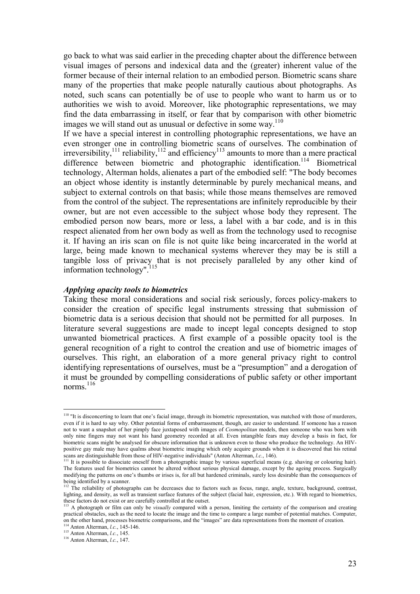go back to what was said earlier in the preceding chapter about the difference between visual images of persons and indexical data and the (greater) inherent value of the former because of their internal relation to an embodied person. Biometric scans share many of the properties that make people naturally cautious about photographs. As noted, such scans can potentially be of use to people who want to harm us or to authorities we wish to avoid. Moreover, like photographic representations, we may find the data embarrassing in itself, or fear that by comparison with other biometric images we will stand out as unusual or defective in some way.<sup>110</sup>

If we have a special interest in controlling photographic representations, we have an even stronger one in controlling biometric scans of ourselves. The combination of irreversibility, $111$  reliability, $112$  and efficiency $113$  amounts to more than a mere practical difference between biometric and photographic identification.<sup>114</sup> Biometrical technology, Alterman holds, alienates a part of the embodied self: "The body becomes an object whose identity is instantly determinable by purely mechanical means, and subject to external controls on that basis; while those means themselves are removed from the control of the subject. The representations are infinitely reproducible by their owner, but are not even accessible to the subject whose body they represent. The embodied person now bears, more or less, a label with a bar code, and is in this respect alienated from her own body as well as from the technology used to recognise it. If having an iris scan on file is not quite like being incarcerated in the world at large, being made known to mechanical systems wherever they may be is still a tangible loss of privacy that is not precisely paralleled by any other kind of information technology".<sup>115</sup>

#### *Applying opacity tools to biometrics*

Taking these moral considerations and social risk seriously, forces policy-makers to consider the creation of specific legal instruments stressing that submission of biometric data is a serious decision that should not be permitted for all purposes. In literature several suggestions are made to incept legal concepts designed to stop unwanted biometrical practices. A first example of a possible opacity tool is the general recognition of a right to control the creation and use of biometric images of ourselves. This right, an elaboration of a more general privacy right to control identifying representations of ourselves, must be a "presumption" and a derogation of it must be grounded by compelling considerations of public safety or other important norms<sup>116</sup>

<sup>&</sup>lt;sup>110</sup> "It is disconcerting to learn that one's facial image, through its biometric representation, was matched with those of murderers, even if it is hard to say why. Other potential forms of embarrassment, though, are easier to understand. If someone has a reason not to want a snapshot of her pimply face juxtaposed with images of *Cosmopolitan* models, then someone who was born with only nine fingers may not want his hand geometry recorded at all. Even intangible fears may develop a basis in fact, for biometric scans might be analysed for obscure information that is unknown even to those who produce the technology. An HIVpositive gay male may have qualms about biometric imaging which only acquire grounds when it is discovered that his retinal scans are distinguishable from those of HIV-negative individuals" (Anton Alterman, *l.c.*, 146).<br><sup>111</sup> It is possible to dissociate oneself from a photographic image by various superficial means (e.g. shaving or colouring

The features used for biometrics cannot be altered without serious physical damage, except by the ageing process. Surgically modifying the patterns on one's thumbs or irises is, for all but hardened criminals, surely less desirable than the consequences of being identified by a scanner.

The reliability of photographs can be decreases due to factors such as focus, range, angle, texture, background, contrast, lighting, and density, as well as transient surface features of the subject (facial hair, expression, etc.). With regard to biometrics, these factors do not exist or are carefully controlled at the outset.

A photograph or film can only be *visually* compared with a person, limiting the certainty of the comparison and creating practical obstacles, such as the need to locate the image and the time to compare a large number of potential matches. Computer, of the other hand, processes biometric comparisons, and the "images" are data representations from the moment of creation.<br><sup>114</sup> Anton Alterman, *l.c.*, 145-146.<br><sup>115</sup> Anton Alterman, *l.c.*, 145.<br><sup>116</sup> Anton Alterman, *l.*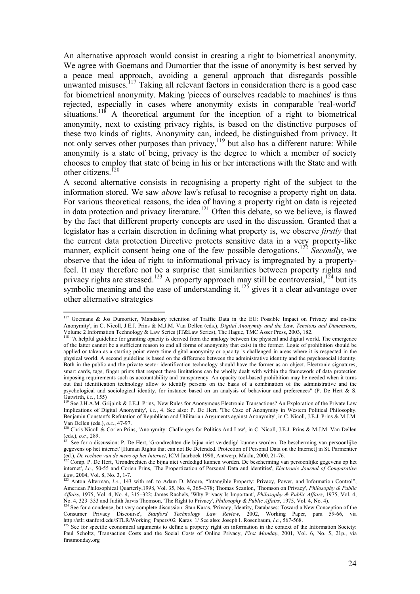An alternative approach would consist in creating a right to biometrical anonymity. We agree with Goemans and Dumortier that the issue of anonymity is best served by a peace meal approach, avoiding a general approach that disregards possible unwanted misuses.<sup>117</sup> Taking all relevant factors in consideration there is a good case for biometrical anonymity. Making 'pieces of ourselves readable to machines' is thus rejected, especially in cases where anonymity exists in comparable 'real-world' situations.<sup>118</sup> A theoretical argument for the inception of a right to biometrical anonymity, next to existing privacy rights, is based on the distinctive purposes of these two kinds of rights. Anonymity can, indeed, be distinguished from privacy. It not only serves other purposes than privacy, $119$  but also has a different nature: While anonymity is a state of being, privacy is the degree to which a member of society chooses to employ that state of being in his or her interactions with the State and with other citizens.<sup>120</sup>

A second alternative consists in recognising a property right of the subject to the information stored. We saw *above* law's refusal to recognise a property right on data. For various theoretical reasons, the idea of having a property right on data is rejected in data protection and privacy literature.<sup>121</sup> Often this debate, so we believe, is flawed by the fact that different property concepts are used in the discussion. Granted that a legislator has a certain discretion in defining what property is, we observe *firstly* that the current data protection Directive protects sensitive data in a very property-like manner, explicit consent being one of the few possible derogations.<sup>122</sup> *Secondly*, we observe that the idea of right to informational privacy is impregnated by a propertyfeel. It may therefore not be a surprise that similarities between property rights and privacy rights are stressed.<sup>123</sup> A property approach may still be controversial,<sup>124</sup> but its symbolic meaning and the ease of understanding it,  $125$  gives it a clear advantage over other alternative strategies

<sup>&</sup>lt;sup>117</sup> Goemans & Jos Dumortier, 'Mandatory retention of Traffic Data in the EU: Possible Impact on Privacy and on-line Anonymity', in C. Nicoll, J.E.J. Prins & M.J.M. Van Dellen (eds.), *Digital Anonymity and the Law. Tensions and Dimensions*, Volume 2 Information Technology & Law Series (IT&Law Series), The Hague, TMC Asser Press, 2003, 182.<br><sup>118</sup> "A helpful guideline for granting opacity is derived from the analogy between the physical and digital world. The e

of the latter cannot be a sufficient reason to end all forms of anonymity that exist in the former. Logic of prohibition should be applied or taken as a starting point every time digital anonymity or opacity is challenged in areas where it is respected in the physical world. A second guideline is based on the difference between the administrative identity and the psychosocial identity. Both in the public and the private sector identification technology should have the former as an object. Electronic signatures, smart cards, tags, finger prints that respect these limitations can be wholly dealt with within the framework of data protection imposing requirements such as accountability and transparency. An opacity tool-based prohibition may be needed when it turns out that identification technology allow to identify persons on the basis of a combination of the administrative and the psychological and sociological identity, for instance based on an analysis of behaviour and preferences" (P. De Hert & S. Gutwirth, *l.c.*, 155)<br><sup>119</sup> See J.H.A.M. Grijpink & J.E.J. Prins, 'New Rules for Anonymous Electronic Transactions? An Exploration of the Private Law

Implications of Digital Anonymity', *l.c.*, 4. See also: P. De Hert, 'The Case of Anonymity in Western Political Philosophy. Benjamin Constant's Refutation of Republican and Utilitarian Arguments against Anonymity', in C. Nicoll, J.E.J. Prins & M.J.M.<br>Van Dellen (eds.), o.c., 47-97.

van Dellen (eds.), *o.c.*, 477. 120<br><sup>120</sup> Chris Nicoll & Corien Prins, 'Anonymity: Challenges for Politics And Law', in C. Nicoll, J.E.J. Prins & M.J.M. Van Dellen eds.), *o.c.*, 289.<br>
<sup>121</sup> See for a discussion: P. De Hert, 'Grondrechten die bijna niet verdedigd kunnen worden. De bescherming van persoonlijke

gegevens op het internet' [Human Rights that can not Be Defended. Protection of Personal Data on the Internet] in St. Parmentier (ed.), *De rechten van de mens op het Internet*, ICM Jaarboek 1998, Antwerp, Maklu, 2000, 21-76.<br><sup>122</sup> Comp. P. De Hert, 'Grondrechten die bijna niet verdedigd kunnen worden. De bescherming van persoonlijke gegevens op het

internet', *l.c.*, 50-55 and Corien Prins, 'The Propertization of Personal Data and identities', *Electronic Journal of Comparative Law*, 2004, Vol. 8, No. 3, 1-7.<br><sup>123</sup> Anton Alterman, *l.c.*, 143 with ref. to Adam D. Moore, "Intangible Property: Privacy, Power, and Information Control",

American Philosophical Quarterly,1998, Vol. 35, No. 4, 365–378; Thomas Scanlon, 'Thomson on Privacy', *Philosophy & Public Affairs*, 1975, Vol. 4, No. 4, 315–322; James Rachels, 'Why Privacy Is Important', *Philosophy & Public Affairs*, 1975, Vol. 4, No. 4, 323–333 and Judith Jarvis Thomson, "The Right to Privacy", Philosophy & Public Affairs, 1975, Vol. 4, No. 4, 233–333 and Judith Jarvis Thomson, "The Right to Privacy", Philosophy & Public Affairs, 1975, Vol. 4, No.

Consumer Privacy Discourse', *Stanford Technology Law Review*, 2002, Working Paper, para 59-66, via http://stlr.stanford.edu/STLR/Working\_Papers/02\_Karas\_1/ See also: Joseph I. Rosenbaum, *l.c.*, 567-568.

http://stlr.stanford.edu/STLR/Working\_Papers/02\_Karas\_1/ See also: Joseph I. Rosenbaum, *l.c.*, 567-568.<br><sup>125</sup> See for specific economical arguments to define a property right on information in the context of the Informati Paul Scholtz, 'Transaction Costs and the Social Costs of Online Privacy, *First Monday*, 2001, Vol. 6, No. 5, 21p., via firstmonday.org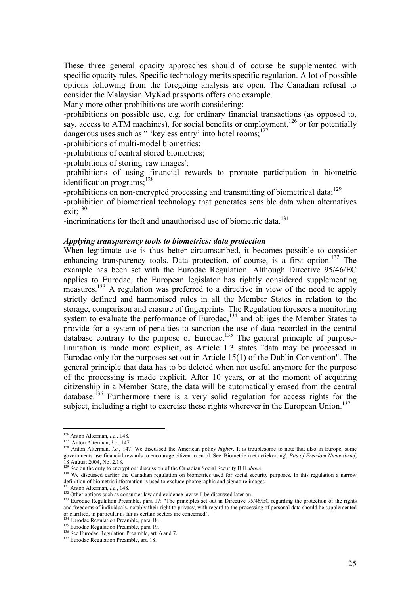These three general opacity approaches should of course be supplemented with specific opacity rules. Specific technology merits specific regulation. A lot of possible options following from the foregoing analysis are open. The Canadian refusal to consider the Malaysian MyKad passports offers one example.

Many more other prohibitions are worth considering:

-prohibitions on possible use, e.g. for ordinary financial transactions (as opposed to, say, access to ATM machines), for social benefits or employment,<sup>126</sup> or for potentially dangerous uses such as " 'keyless entry' into hotel rooms:<sup>12</sup>

-prohibitions of multi-model biometrics;

-prohibitions of central stored biometrics;

-prohibitions of storing 'raw images';

-prohibitions of using financial rewards to promote participation in biometric identification programs:<sup>128</sup>

-prohibitions on non-encrypted processing and transmitting of biometrical data;<sup>129</sup>

-prohibition of biometrical technology that generates sensible data when alternatives  $exit:$ <sup>130</sup>

-incriminations for theft and unauthorised use of biometric data.<sup>131</sup>

#### *Applying transparency tools to biometrics: data protection*

When legitimate use is thus better circumscribed, it becomes possible to consider enhancing transparency tools. Data protection, of course, is a first option.<sup>132</sup> The example has been set with the Eurodac Regulation. Although Directive 95/46/EC applies to Eurodac, the European legislator has rightly considered supplementing measures.<sup>133</sup> A regulation was preferred to a directive in view of the need to apply strictly defined and harmonised rules in all the Member States in relation to the storage, comparison and erasure of fingerprints. The Regulation foresees a monitoring system to evaluate the performance of Eurodac,<sup>134</sup> and obliges the Member States to provide for a system of penalties to sanction the use of data recorded in the central database contrary to the purpose of Eurodac.<sup>135</sup> The general principle of purposelimitation is made more explicit, as Article 1.3 states "data may be processed in Eurodac only for the purposes set out in Article 15(1) of the Dublin Convention". The general principle that data has to be deleted when not useful anymore for the purpose of the processing is made explicit. After 10 years, or at the moment of acquiring citizenship in a Member State, the data will be automatically erased from the central database.136 Furthermore there is a very solid regulation for access rights for the subject, including a right to exercise these rights wherever in the European Union.<sup>137</sup>

 $126$  Anton Alterman, *l.c.*, 148.

<sup>127</sup> Anton Alterman, *l.c.*, 147.<br><sup>128</sup> Anton Alterman, *l.c.*, 147. We discussed the American policy *higher*. It is troublesome to note that also in Europe, some governments use financial rewards to encourage citizen to enrol. See 'Biometrie met actiekorting', *Bits of Freedom Nieuwsbrief*, 18 August 2004, No. 2.18.<br><sup>129</sup> See on the duty to encrypt our discussion of the Canadian Social Security Bill *above*.

<sup>130</sup> We discussed earlier the Canadian regulation on biometrics used for social security purposes. In this regulation a narrow<br>definition of biometric information is used to exclude photographic and signature images.

<sup>&</sup>lt;sup>131</sup> Anton Alterman, *l.c.*, 148.<br><sup>132</sup> Other options such as consumer law and evidence law will be discussed later on.<br><sup>133</sup> Eurodac Regulation Preamble, para 17: "The principles set out in Directive 95/46/EC regarding and freedoms of individuals, notably their right to privacy, with regard to the processing of personal data should be supplemented or clarified, in particular as far as certain sectors are concerned".<br><sup>134</sup> Eurodac Regulation Preamble, para 18.

<sup>135</sup> Eurodac Regulation Preamble, para 19.<br><sup>136</sup> See Eurodac Regulation Preamble, art. 6 and 7.<br><sup>137</sup> Eurodac Regulation Preamble, art. 18.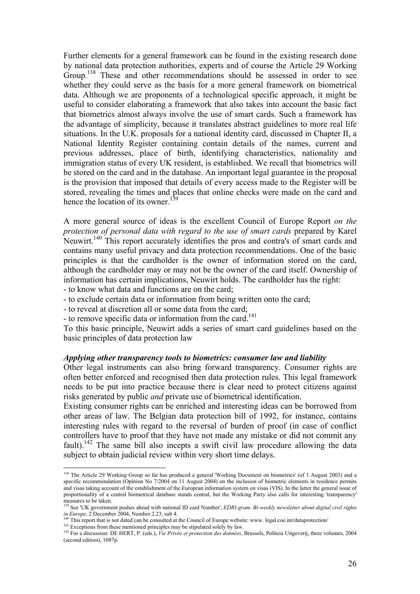Further elements for a general framework can be found in the existing research done by national data protection authorities, experts and of course the Article 29 Working Group.<sup>138</sup> These and other recommendations should be assessed in order to see whether they could serve as the basis for a more general framework on biometrical data. Although we are proponents of a technological specific approach, it might be useful to consider elaborating a framework that also takes into account the basic fact that biometrics almost always involve the use of smart cards. Such a framework has the advantage of simplicity, because it translates abstract guidelines to more real life situations. In the U.K. proposals for a national identity card, discussed in Chapter II, a National Identity Register containing contain details of the names, current and previous addresses, place of birth, identifying characteristics, nationality and immigration status of every UK resident, is established. We recall that biometrics will be stored on the card and in the database. An important legal guarantee in the proposal is the provision that imposed that details of every access made to the Register will be stored, revealing the times and places that online checks were made on the card and hence the location of its owner.<sup>139</sup>

A more general source of ideas is the excellent Council of Europe Report *on the protection of personal data with regard to the use of smart cards* prepared by Karel Neuwirt.<sup>140</sup> This report accurately identifies the pros and contra's of smart cards and contains many useful privacy and data protection recommendations. One of the basic principles is that the cardholder is the owner of information stored on the card, although the cardholder may or may not be the owner of the card itself. Ownership of information has certain implications, Neuwirt holds. The cardholder has the right:

- to know what data and functions are on the card;

- to exclude certain data or information from being written onto the card;

- to reveal at discretion all or some data from the card;

- to remove specific data or information from the card.<sup>141</sup>

To this basic principle, Neuwirt adds a series of smart card guidelines based on the basic principles of data protection law

#### *Applying other transparency tools to biometrics: consumer law and liability*

Other legal instruments can also bring forward transparency. Consumer rights are often better enforced and recognised then data protection rules. This legal framework needs to be put into practice because there is clear need to protect citizens against risks generated by public *and* private use of biometrical identification.

Existing consumer rights can be enriched and interesting ideas can be borrowed from other areas of law. The Belgian data protection bill of 1992, for instance, contains interesting rules with regard to the reversal of burden of proof (in case of conflict controllers have to proof that they have not made any mistake or did not commit any fault).<sup>142</sup> The same bill also incepts a swift civil law procedure allowing the data subject to obtain judicial review within very short time delays.

<sup>&</sup>lt;sup>138</sup> The Article 29 Working Group so far has produced a general 'Working Document on biometrics' (of 1 August 2003) and a specific recommendation (Opinion No 7/2004 on 11 August 2004) on the inclusion of biometric elements in residence permits and visas taking account of the establishment of the European information system on visas (VIS). In the latter the general issue of proportionality of a central biometrical database stands central, but the Working Party also calls for interesting 'transparency' measures to be taken.

<sup>139</sup> See 'UK government pushes ahead with national ID card Number', *EDRI-gram. Bi-weekly newsletter about digital civil rights in Europe*, 2 December 2004, Number 2.23, sub 4.<br><sup>140</sup> This report that is not dated can be consulted at the Council of Europe website: www. legal.coe.int/dataprotection/

<sup>&</sup>lt;sup>141</sup> Exceptions from these mentioned principles may be stipulated solely by law.<br><sup>142</sup> For a discussion: DE HERT, P. (eds.), *Vie Privée et protection des données*, Brussels, Politeia Uitgeverij, three volumes, 2004 (second edition), 1087p.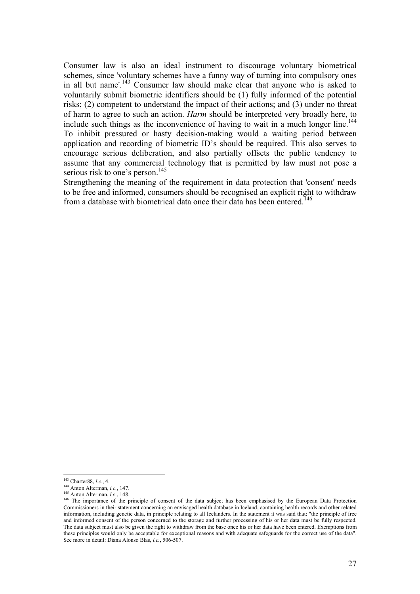Consumer law is also an ideal instrument to discourage voluntary biometrical schemes, since 'voluntary schemes have a funny way of turning into compulsory ones in all but name'.<sup>143</sup> Consumer law should make clear that anyone who is asked to voluntarily submit biometric identifiers should be (1) fully informed of the potential risks; (2) competent to understand the impact of their actions; and (3) under no threat of harm to agree to such an action. *Harm* should be interpreted very broadly here, to include such things as the inconvenience of having to wait in a much longer line.<sup>144</sup> To inhibit pressured or hasty decision-making would a waiting period between application and recording of biometric ID's should be required. This also serves to encourage serious deliberation, and also partially offsets the public tendency to assume that any commercial technology that is permitted by law must not pose a serious risk to one's person.<sup>145</sup>

Strengthening the meaning of the requirement in data protection that 'consent' needs to be free and informed, consumers should be recognised an explicit right to withdraw from a database with biometrical data once their data has been entered.<sup>146</sup>

 $143$  Charter 88, *l.c.*, 4.

<sup>&</sup>lt;sup>144</sup> Anton Alterman, *l.c.*, 147.<br><sup>145</sup> Anton Alterman, *l.c.*, 148.<br><sup>145</sup> Anton Alterman, *l.c.*, 148.<br><sup>146</sup> The importance of the principle of consent of the data subject has been emphasised by the European Data Protect Commissioners in their statement concerning an envisaged health database in Iceland, containing health records and other related information, including genetic data, in principle relating to all Icelanders. In the statement it was said that: "the principle of free and informed consent of the person concerned to the storage and further processing of his or her data must be fully respected. The data subject must also be given the right to withdraw from the base once his or her data have been entered. Exemptions from these principles would only be acceptable for exceptional reasons and with adequate safeguards for the correct use of the data". See more in detail: Diana Alonso Blas, *l.c.*, 506-507.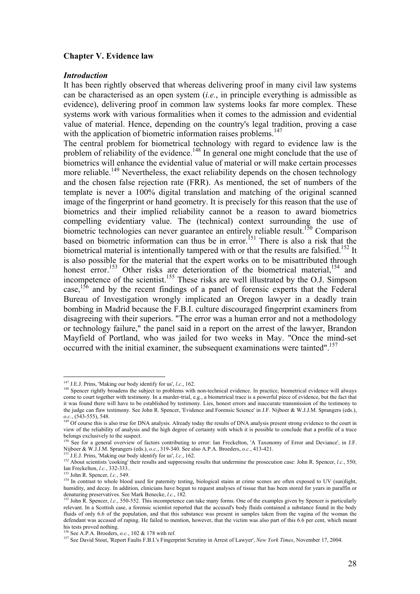#### **Chapter V. Evidence law**

#### *Introduction*

It has been rightly observed that whereas delivering proof in many civil law systems can be characterised as an open system (*i.e.*, in principle everything is admissible as evidence), delivering proof in common law systems looks far more complex. These systems work with various formalities when it comes to the admission and evidential value of material. Hence, depending on the country's legal tradition, proving a case with the application of biometric information raises problems.<sup>147</sup>

The central problem for biometrical technology with regard to evidence law is the problem of reliability of the evidence.<sup>148</sup> In general one might conclude that the use of biometrics will enhance the evidential value of material or will make certain processes more reliable.<sup>149</sup> Nevertheless, the exact reliability depends on the chosen technology and the chosen false rejection rate (FRR). As mentioned, the set of numbers of the template is never a 100% digital translation and matching of the original scanned image of the fingerprint or hand geometry. It is precisely for this reason that the use of biometrics and their implied reliability cannot be a reason to award biometrics compelling evidentiary value. The (technical) context surrounding the use of biometric technologies can never guarantee an entirely reliable result.<sup>150</sup> Comparison based on biometric information can thus be in error.151 There is also a risk that the biometrical material is intentionally tampered with or that the results are falsified.<sup>152</sup> It is also possible for the material that the expert works on to be misattributed through honest error.<sup>153</sup> Other risks are deterioration of the biometrical material,<sup>154</sup> and incompetence of the scientist.<sup>155</sup> These risks are well illustrated by the O.J. Simpson case,<sup>156</sup> and by the recent findings of a panel of forensic experts that the Federal Bureau of Investigation wrongly implicated an Oregon lawyer in a deadly train bombing in Madrid because the F.B.I. culture discouraged fingerprint examiners from disagreeing with their superiors. "The error was a human error and not a methodology or technology failure," the panel said in a report on the arrest of the lawyer, Brandon Mayfield of Portland, who was jailed for two weeks in May. "Once the mind-set occurred with the initial examiner, the subsequent examinations were tainted".<sup>157</sup>

 $147$  J.E.J. Prins, 'Making our body identify for us', l.c., 162.

<sup>&</sup>lt;sup>148</sup> Spencer rightly broadens the subject to problems with non-technical evidence. In practice, biometrical evidence will always come to court together with testimony. In a murder-trial, e.g., a biometrical trace is a powerful piece of evidence, but the fact that it was found there will have to be established by testimony. Lies, honest errors and inaccurate transmission of the testimony to the judge can flaw testimony. See John R. Spencer, 'Evidence and Forensic Science' in J.F. Nijboer & W.J.J.M. Sprangers (eds.),

*o.c.*, (543-555), 548.<br><sup>149</sup> Of course this is also true for DNA analysis. Already today the results of DNA analysis present strong evidence to the court in view of the reliability of analysis and the high degree of certainty with which it is possible to conclude that a profile of a trace belongs exclusively to the suspect.

<sup>&</sup>lt;sup>150</sup> See for a general overview of factors contributing to error: Ian Freckelton, 'A Taxonomy of Error and Deviance', in J.F. Nijboer & W.J.J.M. Sprangers (eds.), *o.c.*, 319-340. See also A.P.A. Broeders, *o.c.*, 413-42

<sup>&</sup>lt;sup>151</sup> J.E.J. Prins, 'Making our body identify for us', *l.c.*, 162.<br><sup>152</sup> About scientists 'cooking' their results and suppressing results that undermine the prosecution case: John R. Spencer, *l.c.*, 550;<br>Ian Freckelton.

I<sup>53</sup> John R. Spencer, *l.c.*, 549.<br><sup>153</sup> John R. Spencer, *l.c.*, 549.<br><sup>154</sup> In contrast to whole blood used for paternity testing, biological stains at crime scenes are often exposed to UV (sun)light, humidity, and decay. In addition, clinicians have begun to request analyses of tissue that has been stored for years in paraffin or denaturing preservatives. See Mark Benecke, *l.c.*, 182.<br><sup>155</sup> John R. Spencer, *l.c.*, 550-552. This incompetence can take many forms. One of the examples given by Spencer is particularly

relevant. In a Scottish case, a forensic scientist reported that the accused's body fluids contained a substance found in the body fluids of only 6.6 of the population, and that this substance was present in samples taken from the vagina of the woman the defendant was accused of raping. He failed to mention, however, that the victim was also part of this 6.6 per cent, which meant his tests proved nothing.<br><sup>156</sup> See A.P.A. Broeders, *o.c.*, 102 & 178 with ref.

<sup>157</sup> See David Stout, 'Report Faults F.B.I.'s Fingerprint Scrutiny in Arrest of Lawyer', *New York Times*, November 17, 2004.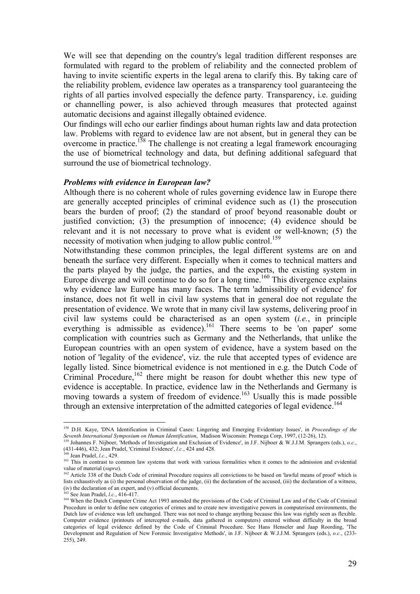We will see that depending on the country's legal tradition different responses are formulated with regard to the problem of reliability and the connected problem of having to invite scientific experts in the legal arena to clarify this. By taking care of the reliability problem, evidence law operates as a transparency tool guaranteeing the rights of all parties involved especially the defence party. Transparency, i.e. guiding or channelling power, is also achieved through measures that protected against automatic decisions and against illegally obtained evidence.

Our findings will echo our earlier findings about human rights law and data protection law. Problems with regard to evidence law are not absent, but in general they can be overcome in practice.<sup>158</sup> The challenge is not creating a legal framework encouraging the use of biometrical technology and data, but defining additional safeguard that surround the use of biometrical technology.

#### *Problems with evidence in European law?*

Although there is no coherent whole of rules governing evidence law in Europe there are generally accepted principles of criminal evidence such as (1) the prosecution bears the burden of proof; (2) the standard of proof beyond reasonable doubt or justified conviction; (3) the presumption of innocence; (4) evidence should be relevant and it is not necessary to prove what is evident or well-known; (5) the necessity of motivation when judging to allow public control.<sup>159</sup>

Notwithstanding these common principles, the legal different systems are on and beneath the surface very different. Especially when it comes to technical matters and the parts played by the judge, the parties, and the experts, the existing system in Europe diverge and will continue to do so for a long time.<sup>160</sup> This divergence explains why evidence law Europe has many faces. The term 'admissibility of evidence' for instance, does not fit well in civil law systems that in general doe not regulate the presentation of evidence. We wrote that in many civil law systems, delivering proof in civil law systems could be characterised as an open system (*i.e.*, in principle everything is admissible as evidence).<sup>161</sup> There seems to be 'on paper' some complication with countries such as Germany and the Netherlands, that unlike the European countries with an open system of evidence, have a system based on the notion of 'legality of the evidence', viz. the rule that accepted types of evidence are legally listed. Since biometrical evidence is not mentioned in e.g. the Dutch Code of Criminal Procedure,<sup>162</sup> there might be reason for doubt whether this new type of evidence is acceptable. In practice, evidence law in the Netherlands and Germany is moving towards a system of freedom of evidence.<sup>163</sup> Usually this is made possible through an extensive interpretation of the admitted categories of legal evidence.<sup>164</sup>

<sup>158</sup> D.H. Kaye, 'DNA Identification in Criminal Cases: Lingering and Emerging Evidentiary Issues', in *Proceedings of the* 

Seventh International Symposium on Human Identification, Madison Wisconsin: Promega Corp, 1997, (12-26), 12).<br>
<sup>159</sup> Johannes F. Nijboer, 'Methods of Investigation and Exclusion of Evidence', in J.F. Nijboer & W.J.J.M. Spr

 $\frac{160}{161}$  Jean Pradel, *l.c.*, 429.<br><sup>161</sup> This in contrast to common law systems that work with various formalities when it comes to the admission and evidential value of material (*supra*).<br><sup>162</sup> Article 338 of the Dutch Code of criminal Procedure requires all convictions to be based on 'lawful means of proof' which is

lists exhaustively as (i) the personal observation of the judge, (ii) the declaration of the accused, (iii) the declaration of a witness, (iv) the declaration of an expert, and (v) official documents.<br><sup>163</sup> See Jean Prade

<sup>&</sup>lt;sup>164</sup> When the Dutch Computer Crime Act 1993 amended the provisions of the Code of Criminal Law and of the Code of Criminal Procedure in order to define new categories of crimes and to create new investigative powers in computerised environments, the Dutch law of evidence was left unchanged. There was not need to change anything because this law was rightly seen as flexible. Computer evidence (printouts of intercepted e-mails, data gathered in computers) entered without difficulty in the broad categories of legal evidence defined by the Code of Criminal Procedure. See Hans Henseler and Jaap Roording, 'The Development and Regulation of New Forensic Investigative Methods', in J.F. Nijboer & W.J.J.M. Sprangers (eds.), *o.c.*, (233- 255), 249.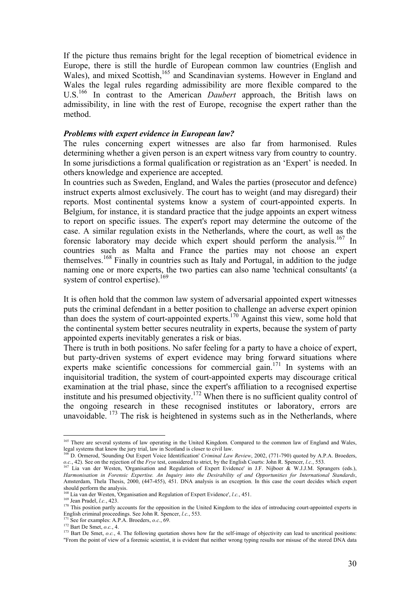If the picture thus remains bright for the legal reception of biometrical evidence in Europe, there is still the hurdle of European common law countries (English and Wales), and mixed Scottish,<sup>165</sup> and Scandinavian systems. However in England and Wales the legal rules regarding admissibility are more flexible compared to the U.S.166 In contrast to the American *Daubert* approach, the British laws on admissibility, in line with the rest of Europe, recognise the expert rather than the method.

#### *Problems with expert evidence in European law?*

The rules concerning expert witnesses are also far from harmonised. Rules determining whether a given person is an expert witness vary from country to country. In some jurisdictions a formal qualification or registration as an 'Expert' is needed. In others knowledge and experience are accepted.

In countries such as Sweden, England, and Wales the parties (prosecutor and defence) instruct experts almost exclusively. The court has to weight (and may disregard) their reports. Most continental systems know a system of court-appointed experts. In Belgium, for instance, it is standard practice that the judge appoints an expert witness to report on specific issues. The expert's report may determine the outcome of the case. A similar regulation exists in the Netherlands, where the court, as well as the forensic laboratory may decide which expert should perform the analysis.<sup>167</sup> In countries such as Malta and France the parties may not choose an expert themselves.168 Finally in countries such as Italy and Portugal, in addition to the judge naming one or more experts, the two parties can also name 'technical consultants' (a system of control expertise).<sup>169</sup>

It is often hold that the common law system of adversarial appointed expert witnesses puts the criminal defendant in a better position to challenge an adverse expert opinion than does the system of court-appointed experts.170 Against this view, some hold that the continental system better secures neutrality in experts, because the system of party appointed experts inevitably generates a risk or bias.

There is truth in both positions. No safer feeling for a party to have a choice of expert, but party-driven systems of expert evidence may bring forward situations where experts make scientific concessions for commercial gain.<sup>171</sup> In systems with an inquisitorial tradition, the system of court-appointed experts may discourage critical examination at the trial phase, since the expert's affiliation to a recognised expertise institute and his presumed objectivity.172 When there is no sufficient quality control of the ongoing research in these recognised institutes or laboratory, errors are unavoidable.  $173$  The risk is heightened in systems such as in the Netherlands, where

<sup>&</sup>lt;sup>165</sup> There are several systems of law operating in the United Kingdom. Compared to the common law of England and Wales, legal systems that know the jury trial, law in Scotland is closer to civil law.<br><sup>166</sup> D. Ormand *Sco* 

D. Ormerod, 'Sounding Out Expert Voice Identification' *Criminal Law Review*, 2002, (771-790) quoted by A.P.A. Broeders, *o.c.*, 42). See on the rejection of the *Frye* test, considered to strict, by the English Courts: John R. Spencer, *l.c.*, 553.<br><sup>167</sup> Lia van der Westen, 'Organisation and Regulation of Expert Evidence' in J.F. Nijboer &

*Harmonisation in Forensic Expertise. An Inquiry into the Desirability of and Opportunities for International Standards*, Amsterdam, Thela Thesis, 2000, (447-455), 451. DNA analysis is an exception. In this case the court decides which expert should perform the analysis.<br><sup>168</sup> Lia van der Westen, 'Organisation and Regulation of Expert Evidence', *l.c.*, 451.

Les Van Pradel, *l.c.*, 423.<br><sup>170</sup> This position partly accounts for the opposition in the United Kingdom to the idea of introducing court-appointed experts in English criminal proceedings. See John R. Spencer, *l.c.*, 55

<sup>&</sup>lt;sup>171</sup> See for examples: A.P.A. Broeders, *o.c.*, 69.<br><sup>172</sup> Bart De Smet, *o.c.*, 4.<br><sup>173</sup> Bart De Smet, *o.c.*, 4. The following quotation shows how far the self-image of objectivity can lead to uncritical positions: "From the point of view of a forensic scientist, it is evident that neither wrong typing results nor misuse of the stored DNA data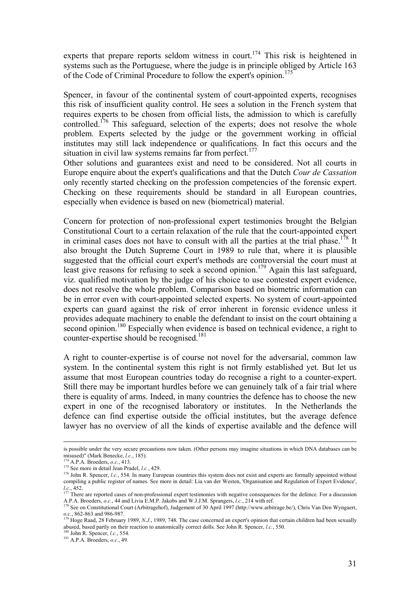experts that prepare reports seldom witness in court.<sup>174</sup> This risk is heightened in systems such as the Portuguese, where the judge is in principle obliged by Article 163 of the Code of Criminal Procedure to follow the expert's opinion.<sup>175</sup>

Spencer, in favour of the continental system of court-appointed experts, recognises this risk of insufficient quality control. He sees a solution in the French system that requires experts to be chosen from official lists, the admission to which is carefully controlled.<sup>176</sup> This safeguard, selection of the experts; does not resolve the whole problem. Experts selected by the judge or the government working in official institutes may still lack independence or qualifications. In fact this occurs and the situation in civil law systems remains far from perfect.<sup>177</sup>

Other solutions and guarantees exist and need to be considered. Not all courts in Europe enquire about the expert's qualifications and that the Dutch *Cour de Cassation*  only recently started checking on the profession competencies of the forensic expert. Checking on these requirements should be standard in all European countries, especially when evidence is based on new (biometrical) material.

Concern for protection of non-professional expert testimonies brought the Belgian Constitutional Court to a certain relaxation of the rule that the court-appointed expert in criminal cases does not have to consult with all the parties at the trial phase.<sup>178</sup> It also brought the Dutch Supreme Court in 1989 to rule that, where it is plausible suggested that the official court expert's methods are controversial the court must at least give reasons for refusing to seek a second opinion.<sup>179</sup> Again this last safeguard, viz. qualified motivation by the judge of his choice to use contested expert evidence, does not resolve the whole problem. Comparison based on biometric information can be in error even with court-appointed selected experts. No system of court-appointed experts can guard against the risk of error inherent in forensic evidence unless it provides adequate machinery to enable the defendant to insist on the court obtaining a second opinion.<sup>180</sup> Especially when evidence is based on technical evidence, a right to counter-expertise should be recognised.<sup>181</sup>

A right to counter-expertise is of course not novel for the adversarial, common law system. In the continental system this right is not firmly established yet. But let us assume that most European countries today do recognise a right to a counter-expert. Still there may be important hurdles before we can genuinely talk of a fair trial where there is equality of arms. Indeed, in many countries the defence has to choose the new expert in one of the recognised laboratory or institutes. In the Netherlands the defence can find expertise outside the official institutes, but the average defence lawyer has no overview of all the kinds of expertise available and the defence will

is possible under the very secure precautions now taken. (Other persons may imagine situations in which DNA databases can be misused)" (Mark Benecke, *l.c.*, 185).<br><sup>174</sup> A.P.A. Broeders, *o.c.*, 413.<br><sup>175</sup> See more in detail Jean Pradel, *l.c.*, 429.

<sup>&</sup>lt;sup>176</sup> John R. Spencer, *l.c.*, 554. In many European countries this system does not exist and experts are formally appointed without compiling a public register of names. See more in detail: Lia van der Westen, 'Organisation and Regulation of Expert Evidence',

*l.c.*, 452. 177 There are reported cases of non-professional expert testimonies with negative consequences for the defence. For a discussion **177 There** are reported cases of non-professional expert testimonies with negat A. Broeders, *o.c.*, 44 and Livia E.M.P. Jakobs and W.J.J.M. Sprangers, *Lc.*, 214 with ref.<br><sup>178</sup> See on Constitutional Court (Arbitragehof), Judgement of 30 April 1997 (http://www.arbitrage.be/), Chris Van Den Wyngaert,

*o.c.*, 862-863 and 986-987.<br><sup>179</sup> Hoge Raad, 28 February 1989, *N.J.*, 1989, 748. The case concerned an expert's opinion that certain children had been sexually

abused, based partly on their reaction to anatomically correct dolls. See John R. Spencer, *l.c.*, 550. <sup>180</sup> John R. Spencer, *l.c.*, 554. <sup>181</sup> A.P.A. Broeders, *o.c.*, 49.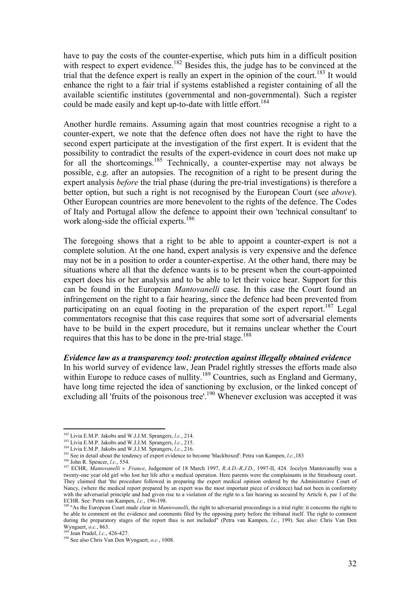have to pay the costs of the counter-expertise, which puts him in a difficult position with respect to expert evidence.<sup>182</sup> Besides this, the judge has to be convinced at the trial that the defence expert is really an expert in the opinion of the court.<sup>183</sup> It would enhance the right to a fair trial if systems established a register containing of all the available scientific institutes (governmental and non-governmental). Such a register could be made easily and kept up-to-date with little effort.<sup>184</sup>

Another hurdle remains. Assuming again that most countries recognise a right to a counter-expert, we note that the defence often does not have the right to have the second expert participate at the investigation of the first expert. It is evident that the possibility to contradict the results of the expert-evidence in court does not make up for all the shortcomings.<sup>185</sup> Technically, a counter-expertise may not always be possible, e.g. after an autopsies. The recognition of a right to be present during the expert analysis *before* the trial phase (during the pre-trial investigations) is therefore a better option, but such a right is not recognised by the European Court (see *above*). Other European countries are more benevolent to the rights of the defence. The Codes of Italy and Portugal allow the defence to appoint their own 'technical consultant' to work along-side the official experts.<sup>186</sup>

The foregoing shows that a right to be able to appoint a counter-expert is not a complete solution. At the one hand, expert analysis is very expensive and the defence may not be in a position to order a counter-expertise. At the other hand, there may be situations where all that the defence wants is to be present when the court-appointed expert does his or her analysis and to be able to let their voice hear. Support for this can be found in the European *Mantovanelli* case. In this case the Court found an infringement on the right to a fair hearing, since the defence had been prevented from participating on an equal footing in the preparation of the expert report.<sup>187</sup> Legal commentators recognise that this case requires that some sort of adversarial elements have to be build in the expert procedure, but it remains unclear whether the Court requires that this has to be done in the pre-trial stage.<sup>188</sup>

#### *Evidence law as a transparency tool: protection against illegally obtained evidence*

In his world survey of evidence law, Jean Pradel rightly stresses the efforts made also within Europe to reduce cases of nullity.<sup>189</sup> Countries, such as England and Germany, have long time rejected the idea of sanctioning by exclusion, or the linked concept of excluding all 'fruits of the poisonous tree'.<sup>190</sup> Whenever exclusion was accepted it was

<sup>&</sup>lt;sup>182</sup> Livia E.M.P. Jakobs and W.J.J.M. Sprangers, *l.c.*, 214.

<sup>&</sup>lt;sup>183</sup> Livia E.M.P. Jakobs and W.J.J.M. Sprangers, *l.c.*, 215.<br><sup>184</sup> Livia E.M.P. Jakobs and W.J.J.M. Sprangers, *l.c.*, 216.<br><sup>185</sup> See in detail about the tendency of expert evidence to become 'blackboxed': Petra van Kam twenty-one year old girl who lost her life after a medical operation. Here parents were the complainants in the Strasbourg court. They claimed that 'the procedure followed in preparing the expert medical opinion ordered by the Administrative Court of Nancy, (where the medical report prepared by an expert was the most important piece of evidence) had not been in conformity with the adversarial principle and had given rise to a violation of the right to a fair hearing as secured by Article 6, par 1 of the ECHR. See: Petra van Kampen, *l.c.*, 196-198.

Acker Ferra van Court made clear in *Mantovanelli*, the right to adversarial proceedings is a trial right: it concerns the right to adversarial proceedings is a trial right: it concerns the right to be able to comment on the evidence and comments filed by the opposing party before the tribunal itself. The right to comment during the preparatory stages of the report thus is not included<sup>"</sup> (Petra van Kampen, *l.c.*, 199). See also: Chris Van Den Wyngaert, *o.c.*, 863.<br><sup>189</sup> Jan Bradal *La.*, 426, 427.

<sup>&</sup>lt;sup>189</sup> Jean Pradel, *l.c.*, 426-427.<br><sup>190</sup> See also Chris Van Den Wyngaert, *o.c.*, 1008.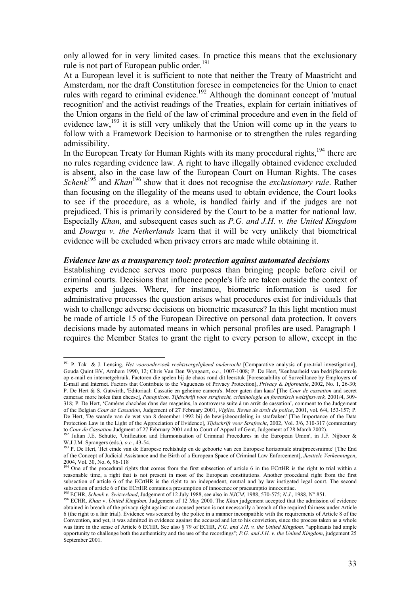only allowed for in very limited cases. In practice this means that the exclusionary rule is not part of European public order.<sup>191</sup>

At a European level it is sufficient to note that neither the Treaty of Maastricht and Amsterdam, nor the draft Constitution foresee in competencies for the Union to enact rules with regard to criminal evidence.<sup>192</sup> Although the dominant concept of 'mutual recognition' and the activist readings of the Treaties, explain for certain initiatives of the Union organs in the field of the law of criminal procedure and even in the field of evidence law,<sup>193</sup> it is still very unlikely that the Union will come up in the years to follow with a Framework Decision to harmonise or to strengthen the rules regarding admissibility.

In the European Treaty for Human Rights with its many procedural rights,<sup>194</sup> there are no rules regarding evidence law. A right to have illegally obtained evidence excluded is absent, also in the case law of the European Court on Human Rights. The cases *Schenk*<sup>195</sup> and *Khan*<sup>196</sup> show that it does not recognise the *exclusionary rule*. Rather than focusing on the illegality of the means used to obtain evidence, the Court looks to see if the procedure, as a whole, is handled fairly and if the judges are not prejudiced. This is primarily considered by the Court to be a matter for national law. Especially *Khan,* and subsequent cases such as *P.G. and J.H. v. the United Kingdom* and *Dourga v. the Netherlands* learn that it will be very unlikely that biometrical evidence will be excluded when privacy errors are made while obtaining it.

#### *Evidence law as a transparency tool: protection against automated decisions*

Establishing evidence serves more purposes than bringing people before civil or criminal courts. Decisions that influence people's life are taken outside the context of experts and judges. Where, for instance, biometric information is used for administrative processes the question arises what procedures exist for individuals that wish to challenge adverse decisions on biometric measures? In this light mention must be made of article 15 of the European Directive on personal data protection. It covers decisions made by automated means in which personal profiles are used. Paragraph 1 requires the Member States to grant the right to every person to allow, except in the

 $\overline{a}$ 191 P. Tak & J. Lensing, *Het vooronderzoek rechtsvergelijkend onderzocht* [Comparative analysis of pre-trial investigation], Gouda Quint BV, Arnhem 1990, 12; Chris Van Den Wyngaert, *o.c.*, 1007-1008; P. De Hert, 'Kenbaarheid van bedrijfscontrole op e-mail en internetgebruik. Factoren die spelen bij de chaos rond dit leerstuk [Foreseaability of Surveillance by Employers of E-mail and Internet. Factors that Contribute to the Vagueness of Privacy Protection], *Privacy & Informatie*, 2002, No. 1, 26-30; P. De Hert & S. Gutwirth, 'Editoriaal: Cassatie en geheime camera's. Meer gaten dan kaas' [The *Cour de cassation* and secret cameras: more holes than cheese], *Panopticon. Tijdschrift voor strafrecht, criminologie en forensisch welzijnswerk,* 2001/4, 309- 318; P. De Hert, 'Caméras chachées dans des magasins, la controverse suite à un arrêt de cassation', comment to the Judgement of the Belgian *Cour de Cassation*, Judgement of 27 February 2001, *Vigiles. Revue de droit de police*, 2001, vol. 6/4, 153-157; P. De Hert, 'De waarde van de wet van 8 december 1992 bij de bewijsbeoordeling in strafzaken' [The Importance of the Data Protection Law in the Light of the Appreciation of Evidence], *Tijdschrift voor Strafrecht*, 2002, Vol. 3/6, 310-317 (commentary

to Cour de Cassation Judgment of 27 February 2001 and to Court of Appeal of Gent, Judgement of 28 March 2002).<br><sup>192</sup> Julian J.E. Schutte, 'Unification and Harmonisation of Criminal Procedures in the European Union', in J.F

W.J.M. Sprangers (eds.), *o.c.*, 43-4. 193<br><sup>193</sup> P. De Hert, 'Het einde van de Europese rechtshulp en de geboorte van een Europese horizontale strafprocesruimte' [The End of the Concept of Judicial Assistance and the Birth of a European Space of Criminal Law Enforcement], *Jusitiële Verkenningen*, 2004, Vol. 30, No. 6, 96-118

<sup>&</sup>lt;sup>194</sup> One of the procedural rights that comes from the first subsection of article 6 in the ECrtHR is the right to trial within a reasonable time, a right that is not present in most of the European constitutions. Another procedural right from the first subsection of article 6 of the ECrtHR is the right to an independent, neutral and by law instigated legal court. The second subsection of article 6 of the ECHIR contains a presumption of innocence or praesumptio innocentiae.<br><sup>195</sup> ECHR, *Schenk v. Switzerland*, Judgement of 12 July 1988, see also in *NJCM*, 1988, 570-575; *N.J.*, 1988, N° 851.

obtained in breach of the privacy right against an accused person is not necessarily a breach of the required fairness under Article 6 (the right to a fair trial). Evidence was secured by the police in a manner incompatible with the requirements of Article 8 of the Convention, and yet, it was admitted in evidence against the accused and let to his conviction, since the process taken as a whole was faire in the sense of Article 6 ECHR. See also § 79 of ECHR, *P.G. and J.H. v. the United Kingdom*. "applicants had ample opportunity to challenge both the authenticity and the use of the recordings"; *P.G. and J.H. v. the United Kingdom*, judgement 25 September 2001.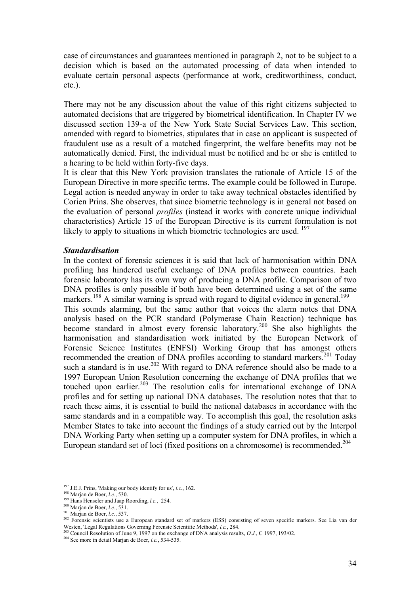case of circumstances and guarantees mentioned in paragraph 2, not to be subject to a decision which is based on the automated processing of data when intended to evaluate certain personal aspects (performance at work, creditworthiness, conduct, etc.).

There may not be any discussion about the value of this right citizens subjected to automated decisions that are triggered by biometrical identification. In Chapter IV we discussed section 139-a of the New York State Social Services Law. This section, amended with regard to biometrics, stipulates that in case an applicant is suspected of fraudulent use as a result of a matched fingerprint, the welfare benefits may not be automatically denied. First, the individual must be notified and he or she is entitled to a hearing to be held within forty-five days.

It is clear that this New York provision translates the rationale of Article 15 of the European Directive in more specific terms. The example could be followed in Europe. Legal action is needed anyway in order to take away technical obstacles identified by Corien Prins. She observes, that since biometric technology is in general not based on the evaluation of personal *profiles* (instead it works with concrete unique individual characteristics) Article 15 of the European Directive is its current formulation is not likely to apply to situations in which biometric technologies are used. <sup>197</sup>

#### *Standardisation*

In the context of forensic sciences it is said that lack of harmonisation within DNA profiling has hindered useful exchange of DNA profiles between countries. Each forensic laboratory has its own way of producing a DNA profile. Comparison of two DNA profiles is only possible if both have been determined using a set of the same markers.<sup>198</sup> A similar warning is spread with regard to digital evidence in general.<sup>199</sup> This sounds alarming, but the same author that voices the alarm notes that DNA analysis based on the PCR standard (Polymerase Chain Reaction) technique has become standard in almost every forensic laboratory.<sup>200</sup> She also highlights the harmonisation and standardisation work initiated by the European Network of Forensic Science Institutes (ENFSI) Working Group that has amongst others recommended the creation of DNA profiles according to standard markers.<sup>201</sup> Today such a standard is in use.<sup>202</sup> With regard to DNA reference should also be made to a 1997 European Union Resolution concerning the exchange of DNA profiles that we touched upon earlier.203 The resolution calls for international exchange of DNA profiles and for setting up national DNA databases. The resolution notes that that to reach these aims, it is essential to build the national databases in accordance with the same standards and in a compatible way. To accomplish this goal, the resolution asks Member States to take into account the findings of a study carried out by the Interpol DNA Working Party when setting up a computer system for DNA profiles, in which a European standard set of loci (fixed positions on a chromosome) is recommended.<sup>204</sup>

<sup>&</sup>lt;sup>197</sup> J.E.J. Prins, 'Making our body identify for us', *l.c.*, 162.

<sup>&</sup>lt;sup>198</sup> Marjan de Boer, *l.c.*, 530.<br><sup>199</sup> Hans Henseler and Jaap Roording, *l.c.*, 254.<br><sup>200</sup> Marjan de Boer, *l.c.*, 531.<br><sup>201</sup> Marjan de Boer, *l.c.*, 537.<br><sup>202</sup> Forensic scientists use a European standard set of markers Westen, Legal Regulations Governing Forensic Scientific Methods', *l.c.*, 284.<br><sup>203</sup> Council Resolution of June 9, 1997 on the exchange of DNA analysis results, *O.J.*, C 1997, 193/02.<br><sup>204</sup> See more in detail Marjan de B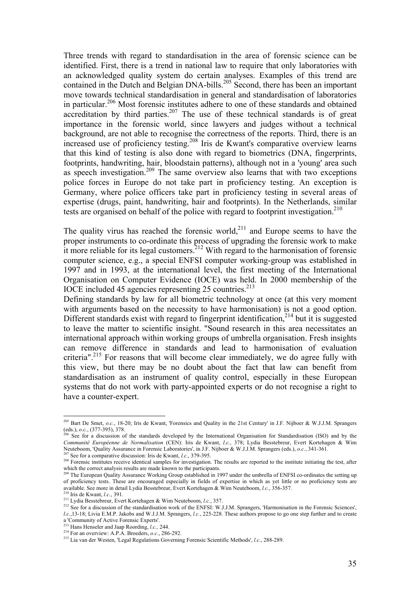Three trends with regard to standardisation in the area of forensic science can be identified. First, there is a trend in national law to require that only laboratories with an acknowledged quality system do certain analyses. Examples of this trend are contained in the Dutch and Belgian DNA-bills.<sup>205</sup> Second, there has been an important move towards technical standardisation in general and standardisation of laboratories in particular.<sup>206</sup> Most forensic institutes adhere to one of these standards and obtained accreditation by third parties.<sup>207</sup> The use of these technical standards is of great importance in the forensic world, since lawyers and judges without a technical background, are not able to recognise the correctness of the reports. Third, there is an increased use of proficiency testing.208 Iris de Kwant's comparative overview learns that this kind of testing is also done with regard to biometrics (DNA, fingerprints, footprints, handwriting, hair, bloodstain patterns), although not in a 'young' area such as speech investigation.<sup>209</sup> The same overview also learns that with two exceptions police forces in Europe do not take part in proficiency testing. An exception is Germany, where police officers take part in proficiency testing in several areas of expertise (drugs, paint, handwriting, hair and footprints). In the Netherlands, similar tests are organised on behalf of the police with regard to footprint investigation.<sup>210</sup>

The quality virus has reached the forensic world,<sup>211</sup> and Europe seems to have the proper instruments to co-ordinate this process of upgrading the forensic work to make it more reliable for its legal customers.<sup>212</sup> With regard to the harmonisation of forensic computer science, e.g., a special ENFSI computer working-group was established in 1997 and in 1993, at the international level, the first meeting of the International Organisation on Computer Evidence (IOCE) was held. In 2000 membership of the IOCE included 45 agencies representing  $25$  countries.<sup>213</sup>

Defining standards by law for all biometric technology at once (at this very moment with arguments based on the necessity to have harmonisation) is not a good option. Different standards exist with regard to fingerprint identification,<sup>214</sup> but it is suggested to leave the matter to scientific insight. "Sound research in this area necessitates an international approach within working groups of umbrella organisation. Fresh insights can remove difference in standards and lead to harmonisation of evaluation criteria".<sup>215</sup> For reasons that will become clear immediately, we do agree fully with this view, but there may be no doubt about the fact that law can benefit from standardisation as an instrument of quality control, especially in these European systems that do not work with party-appointed experts or do not recognise a right to have a counter-expert.

<sup>205</sup> Bart De Smet, *o.c.*, 18-20; Iris de Kwant, 'Forensics and Quality in the 21st Century' in J.F. Nijboer & W.J.J.M. Sprangers (eds.), *o.c.*, (377-395), 378.<br><sup>206</sup> See for a discussion of the standards developed by the International Organisation for Standardisation (ISO) and by the

*Communité Européenne de Normalisation* (CEN): Iris de Kwant, *l.c.*, 378; Lydia Besstebreur, Evert Kortehagen & Wim Neuteboom, 'Quality Assurance in Forensic Laboratories', in J.F. Nijboer & W.J.J.M. Sprangers (eds.), *o.* 

<sup>&</sup>lt;sup>207</sup> See for a comparative discussion: Iris de Kwant, *l.c.*, 379-395.<br><sup>208</sup> Forensic institutes receive identical samples for investigation. The results are reported to the institute initiating the test, after which the

<sup>&</sup>lt;sup>9</sup> The European Quality Assurance Working Group established in 1997 under the umbrella of ENFSI co-ordinates the setting up of proficiency tests. These are encouraged especially in fields of expertise in which as yet little or no proficiency tests are 212 Lydia Bestebreur, Evert Kortehagen & Wim Neuteboom, *l.c.*, 356-357.<br><sup>210</sup> Iris de Kwant, *l.c.*, 391.<br><sup>210</sup> Iris de Kwant, *l.c.*, 391.<br><sup>211</sup> Lydia Besstebreur, Evert Kortehagen & Wim Neuteboom, *l.c.*, 357.<br><sup>212</sup> See

*l.c.*, 13-18; Livia E.M.P. Jakobs and W.J.J.M. Sprangers, *l.c.*, 225-228. These authors propose to go one step further and to create a 'Community of Active Forensic Experts'.<br><sup>213</sup> Hans Henseler and Jaap Roording, *l.c.*, 244.

<sup>213</sup> Hans Henseler and Jaap Roording, *l.c.,* 244. 214 For an overview: A.P.A. Broeders, *o.c.*, 286-292. 215 Lia van der Westen, 'Legal Regulations Governing Forensic Scientific Methods', *l.c.*, 288-289.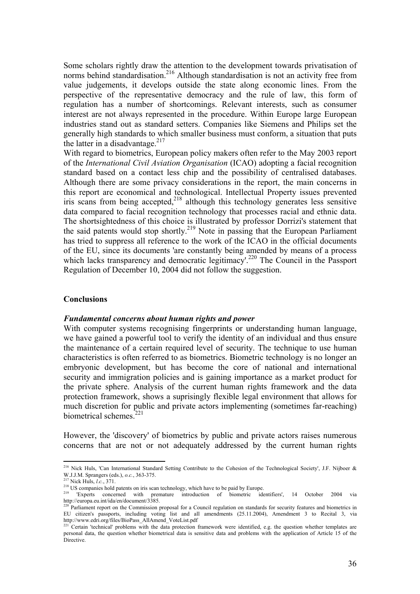Some scholars rightly draw the attention to the development towards privatisation of norms behind standardisation.<sup>216</sup> Although standardisation is not an activity free from value judgements, it develops outside the state along economic lines. From the perspective of the representative democracy and the rule of law, this form of regulation has a number of shortcomings. Relevant interests, such as consumer interest are not always represented in the procedure. Within Europe large European industries stand out as standard setters. Companies like Siemens and Philips set the generally high standards to which smaller business must conform, a situation that puts the latter in a disadvantage. $217$ 

With regard to biometrics, European policy makers often refer to the May 2003 report of the *International Civil Aviation Organisation* (ICAO) adopting a facial recognition standard based on a contact less chip and the possibility of centralised databases. Although there are some privacy considerations in the report, the main concerns in this report are economical and technological. Intellectual Property issues prevented iris scans from being accepted, $2^{18}$  although this technology generates less sensitive data compared to facial recognition technology that processes racial and ethnic data. The shortsightedness of this choice is illustrated by professor Dorrizi's statement that the said patents would stop shortly.<sup>219</sup> Note in passing that the European Parliament has tried to suppress all reference to the work of the ICAO in the official documents of the EU, since its documents 'are constantly being amended by means of a process which lacks transparency and democratic legitimacy'.<sup>220</sup> The Council in the Passport Regulation of December 10, 2004 did not follow the suggestion.

#### **Conclusions**

#### *Fundamental concerns about human rights and power*

With computer systems recognising fingerprints or understanding human language, we have gained a powerful tool to verify the identity of an individual and thus ensure the maintenance of a certain required level of security. The technique to use human characteristics is often referred to as biometrics. Biometric technology is no longer an embryonic development, but has become the core of national and international security and immigration policies and is gaining importance as a market product for the private sphere. Analysis of the current human rights framework and the data protection framework, shows a suprisingly flexible legal environment that allows for much discretion for public and private actors implementing (sometimes far-reaching) biometrical schemes $221$ 

However, the 'discovery' of biometrics by public and private actors raises numerous concerns that are not or not adequately addressed by the current human rights

<sup>&</sup>lt;sup>216</sup> Nick Huls, 'Can International Standard Setting Contribute to the Cohesion of the Technological Society', J.F. Nijboer  $\&$ W.J.J.M. Sprangers (eds.), o.c., 363-375.<br>
<sup>217</sup> Nick Huls, *l.c.*, 371.<br>
<sup>218</sup> US companies hold patents on iris scan technology, which have to be paid by Europe.<br>
<sup>219</sup> Experts concerned with premature introduction of bi

http://europa.eu.int/ida/en/document/3385.

<sup>&</sup>lt;sup>220</sup> Parliament report on the Commission proposal for a Council regulation on standards for security features and biometrics in EU citizen's passports, including voting list and all amendments (25.11.2004), Amendment 3 to Recital 3, via http://www.edri.org/files/BioPass\_AllAmend\_VoteList.pdf<br>
<sup>221</sup> Certain 'technical' problems with the data protection framework were identified, e.g. the question whether templates are<br>
<sup>221</sup> Certain 'technical' problems wi

personal data, the question whether biometrical data is sensitive data and problems with the application of Article 15 of the **Directive**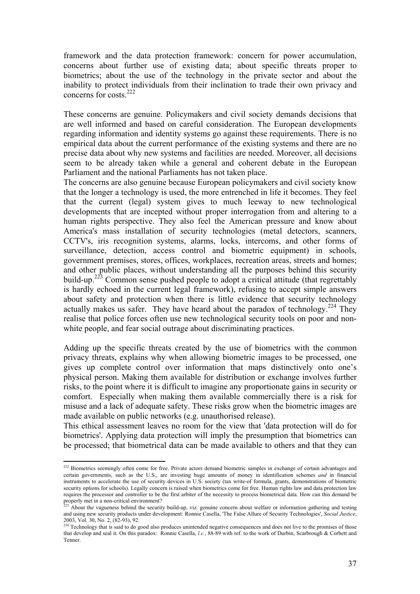framework and the data protection framework: concern for power accumulation, concerns about further use of existing data; about specific threats proper to biometrics; about the use of the technology in the private sector and about the inability to protect individuals from their inclination to trade their own privacy and concerns for costs  $^{222}$ 

These concerns are genuine. Policymakers and civil society demands decisions that are well informed and based on careful consideration. The European developments regarding information and identity systems go against these requirements. There is no empirical data about the current performance of the existing systems and there are no precise data about why new systems and facilities are needed. Moreover, all decisions seem to be already taken while a general and coherent debate in the European Parliament and the national Parliaments has not taken place.

The concerns are also genuine because European policymakers and civil society know that the longer a technology is used, the more entrenched in life it becomes. They feel that the current (legal) system gives to much leeway to new technological developments that are incepted without proper interrogation from and altering to a human rights perspective. They also feel the American pressure and know about America's mass installation of security technologies (metal detectors, scanners, CCTV's, iris recognition systems, alarms, locks, intercoms, and other forms of surveillance, detection, access control and biometric equipment) in schools, government premises, stores, offices, workplaces, recreation areas, streets and homes; and other public places, without understanding all the purposes behind this security build-up.<sup>223</sup> Common sense pushed people to adopt a critical attitude (that regrettably is hardly echoed in the current legal framework), refusing to accept simple answers about safety and protection when there is little evidence that security technology actually makes us safer. They have heard about the paradox of technology.<sup>224</sup> They realise that police forces often use new technological security tools on poor and nonwhite people, and fear social outrage about discriminating practices.

Adding up the specific threats created by the use of biometrics with the common privacy threats, explains why when allowing biometric images to be processed, one gives up complete control over information that maps distinctively onto one's physical person. Making them available for distribution or exchange involves further risks, to the point where it is difficult to imagine any proportionate gains in security or comfort. Especially when making them available commercially there is a risk for misuse and a lack of adequate safety. These risks grow when the biometric images are made available on public networks (e.g. unauthorised release).

This ethical assessment leaves no room for the view that 'data protection will do for biometrics'. Applying data protection will imply the presumption that biometrics can be processed; that biometrical data can be made available to others and that they can

 $222$  Biometrics seemingly often come for free. Private actors demand biometric samples in exchange of certain advantages and certain governments, such as the U.S., are investing huge amounts of money in identification schemes *and* in financial instruments to accelerate the use of security devices in U.S. society (tax write-of formula, grants, demonstrations of biometric security options for schools). Legally concern is raised when biometrics come for free. Human rights law and data protection law requires the processor and controller to be the first arbiter of the necessity to process biometrical data. How can this demand be properly met in a non-critical environment?

<sup>223</sup> About the vagueness behind the security build-up, viz. genuine concern about welfare or information gathering and testing and using new security products under development: Ronnie Casella, 'The False Allure of Security Technologies', *Social Justice*, 2003, Vol. 30, No. 2, (82-93), 92.

<sup>&</sup>lt;sup>224</sup> Technology that is said to do good also produces unintended negative consequences and does not live to the promises of those that develop and seal it. On this paradox: Ronnie Casella, *l.c.*, 88-89 with ref. to the work of Durbin, Scarbrough & Corbett and Tenner.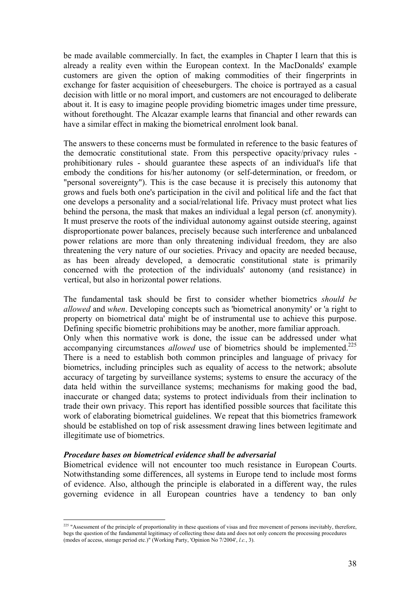be made available commercially. In fact, the examples in Chapter I learn that this is already a reality even within the European context. In the MacDonalds' example customers are given the option of making commodities of their fingerprints in exchange for faster acquisition of cheeseburgers. The choice is portrayed as a casual decision with little or no moral import, and customers are not encouraged to deliberate about it. It is easy to imagine people providing biometric images under time pressure, without forethought. The Alcazar example learns that financial and other rewards can have a similar effect in making the biometrical enrolment look banal.

The answers to these concerns must be formulated in reference to the basic features of the democratic constitutional state. From this perspective opacity/privacy rules prohibitionary rules - should guarantee these aspects of an individual's life that embody the conditions for his/her autonomy (or self-determination, or freedom, or "personal sovereignty"). This is the case because it is precisely this autonomy that grows and fuels both one's participation in the civil and political life and the fact that one develops a personality and a social/relational life. Privacy must protect what lies behind the persona, the mask that makes an individual a legal person (cf. anonymity). It must preserve the roots of the individual autonomy against outside steering, against disproportionate power balances, precisely because such interference and unbalanced power relations are more than only threatening individual freedom, they are also threatening the very nature of our societies. Privacy and opacity are needed because, as has been already developed, a democratic constitutional state is primarily concerned with the protection of the individuals' autonomy (and resistance) in vertical, but also in horizontal power relations.

The fundamental task should be first to consider whether biometrics *should be allowed* and *when*. Developing concepts such as 'biometrical anonymity' or 'a right to property on biometrical data' might be of instrumental use to achieve this purpose. Defining specific biometric prohibitions may be another, more familiar approach. Only when this normative work is done, the issue can be addressed under what accompanying circumstances *allowed* use of biometrics should be implemented.<sup>225</sup> There is a need to establish both common principles and language of privacy for biometrics, including principles such as equality of access to the network; absolute accuracy of targeting by surveillance systems; systems to ensure the accuracy of the data held within the surveillance systems; mechanisms for making good the bad, inaccurate or changed data; systems to protect individuals from their inclination to trade their own privacy. This report has identified possible sources that facilitate this work of elaborating biometrical guidelines. We repeat that this biometrics framework should be established on top of risk assessment drawing lines between legitimate and illegitimate use of biometrics.

#### *Procedure bases on biometrical evidence shall be adversarial*

 $\overline{a}$ 

Biometrical evidence will not encounter too much resistance in European Courts. Notwithstanding some differences, all systems in Europe tend to include most forms of evidence. Also, although the principle is elaborated in a different way, the rules governing evidence in all European countries have a tendency to ban only

<sup>&</sup>lt;sup>225</sup> "Assessment of the principle of proportionality in these questions of visas and free movement of persons inevitably, therefore, begs the question of the fundamental legitimacy of collecting these data and does not only concern the processing procedures (modes of access, storage period etc.)" (Working Party, 'Opinion No 7/2004', *l.c.*, 3).